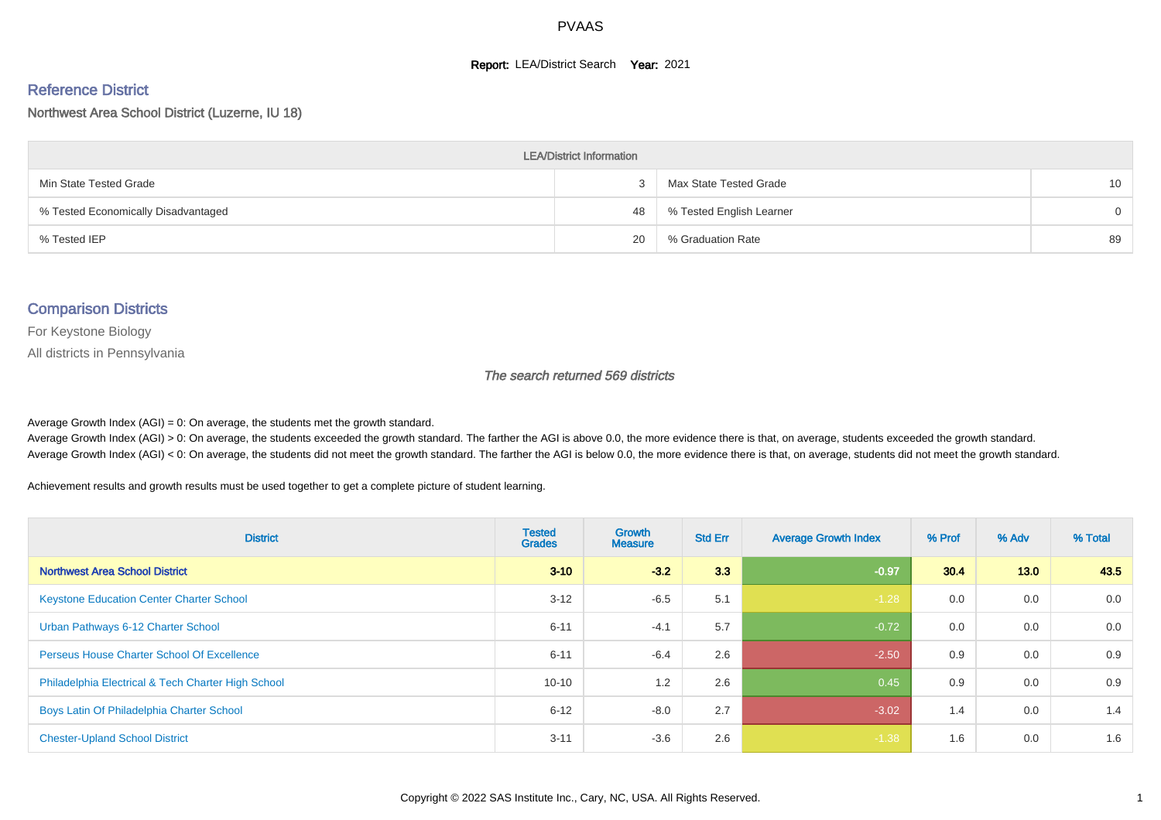#### **Report: LEA/District Search Year: 2021**

#### Reference District

#### Northwest Area School District (Luzerne, IU 18)

| <b>LEA/District Information</b>     |    |                          |          |  |  |  |  |  |  |  |
|-------------------------------------|----|--------------------------|----------|--|--|--|--|--|--|--|
| Min State Tested Grade              |    | Max State Tested Grade   | 10       |  |  |  |  |  |  |  |
| % Tested Economically Disadvantaged | 48 | % Tested English Learner | $\Omega$ |  |  |  |  |  |  |  |
| % Tested IEP                        | 20 | % Graduation Rate        | 89       |  |  |  |  |  |  |  |

#### Comparison Districts

For Keystone Biology

All districts in Pennsylvania

The search returned 569 districts

Average Growth Index  $(AGI) = 0$ : On average, the students met the growth standard.

Average Growth Index (AGI) > 0: On average, the students exceeded the growth standard. The farther the AGI is above 0.0, the more evidence there is that, on average, students exceeded the growth standard. Average Growth Index (AGI) < 0: On average, the students did not meet the growth standard. The farther the AGI is below 0.0, the more evidence there is that, on average, students did not meet the growth standard.

Achievement results and growth results must be used together to get a complete picture of student learning.

| <b>District</b>                                    | <b>Tested</b><br><b>Grades</b> | <b>Growth</b><br><b>Measure</b> | <b>Std Err</b> | <b>Average Growth Index</b> | % Prof | % Adv | % Total |
|----------------------------------------------------|--------------------------------|---------------------------------|----------------|-----------------------------|--------|-------|---------|
| <b>Northwest Area School District</b>              | $3 - 10$                       | $-3.2$                          | 3.3            | $-0.97$                     | 30.4   | 13.0  | 43.5    |
| <b>Keystone Education Center Charter School</b>    | $3 - 12$                       | $-6.5$                          | 5.1            | $-1.28$                     | 0.0    | 0.0   | 0.0     |
| Urban Pathways 6-12 Charter School                 | $6 - 11$                       | $-4.1$                          | 5.7            | $-0.72$                     | 0.0    | 0.0   | 0.0     |
| <b>Perseus House Charter School Of Excellence</b>  | $6 - 11$                       | $-6.4$                          | 2.6            | $-2.50$                     | 0.9    | 0.0   | 0.9     |
| Philadelphia Electrical & Tech Charter High School | $10 - 10$                      | 1.2                             | 2.6            | 0.45                        | 0.9    | 0.0   | 0.9     |
| Boys Latin Of Philadelphia Charter School          | $6 - 12$                       | $-8.0$                          | 2.7            | $-3.02$                     | 1.4    | 0.0   | 1.4     |
| <b>Chester-Upland School District</b>              | $3 - 11$                       | $-3.6$                          | 2.6            | $-1.38$                     | 1.6    | 0.0   | 1.6     |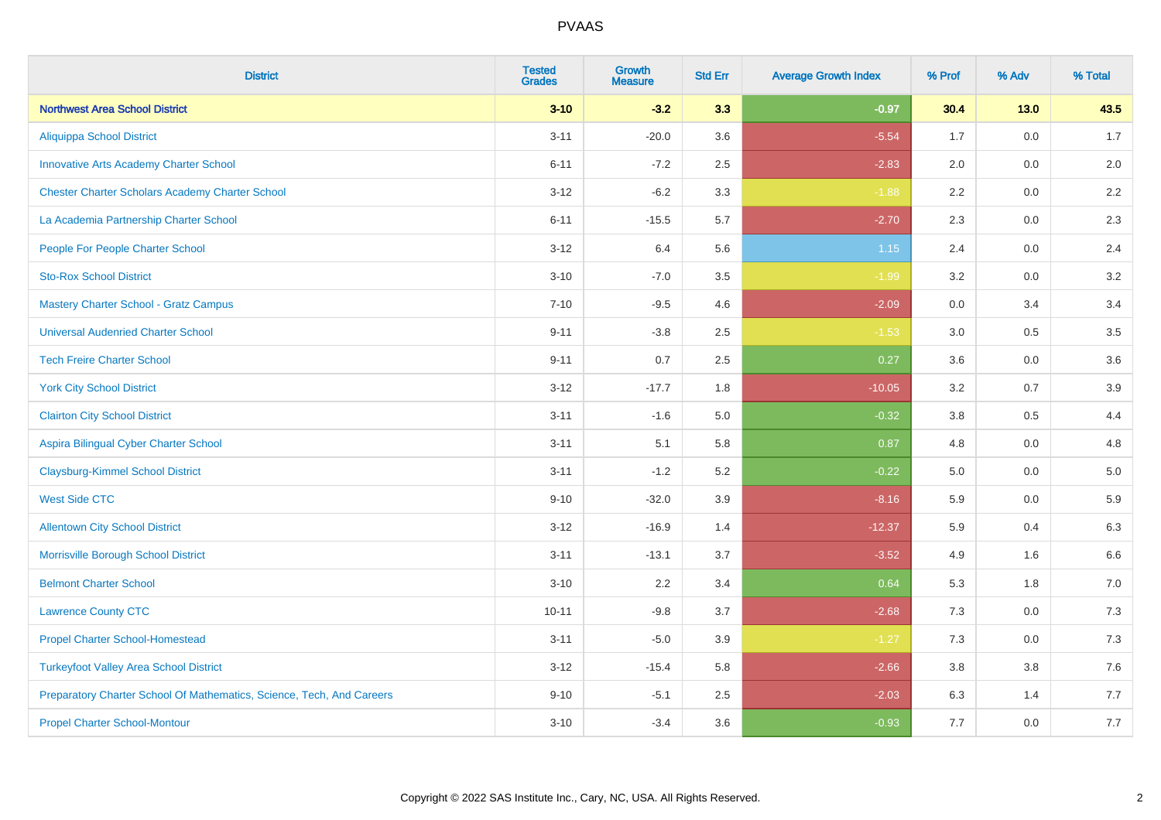| <b>District</b>                                                       | <b>Tested</b><br><b>Grades</b> | <b>Growth</b><br><b>Measure</b> | <b>Std Err</b> | <b>Average Growth Index</b> | % Prof | % Adv   | % Total |
|-----------------------------------------------------------------------|--------------------------------|---------------------------------|----------------|-----------------------------|--------|---------|---------|
| <b>Northwest Area School District</b>                                 | $3 - 10$                       | $-3.2$                          | 3.3            | $-0.97$                     | 30.4   | $13.0$  | 43.5    |
| <b>Aliquippa School District</b>                                      | $3 - 11$                       | $-20.0$                         | 3.6            | $-5.54$                     | 1.7    | 0.0     | 1.7     |
| <b>Innovative Arts Academy Charter School</b>                         | $6 - 11$                       | $-7.2$                          | 2.5            | $-2.83$                     | 2.0    | 0.0     | 2.0     |
| <b>Chester Charter Scholars Academy Charter School</b>                | $3 - 12$                       | $-6.2$                          | 3.3            | $-1.88$                     | 2.2    | 0.0     | 2.2     |
| La Academia Partnership Charter School                                | $6 - 11$                       | $-15.5$                         | 5.7            | $-2.70$                     | 2.3    | 0.0     | 2.3     |
| People For People Charter School                                      | $3 - 12$                       | 6.4                             | 5.6            | $1.15$                      | 2.4    | 0.0     | 2.4     |
| <b>Sto-Rox School District</b>                                        | $3 - 10$                       | $-7.0$                          | 3.5            | $-1.99$                     | 3.2    | $0.0\,$ | 3.2     |
| <b>Mastery Charter School - Gratz Campus</b>                          | $7 - 10$                       | $-9.5$                          | 4.6            | $-2.09$                     | 0.0    | 3.4     | 3.4     |
| <b>Universal Audenried Charter School</b>                             | $9 - 11$                       | $-3.8$                          | 2.5            | $-1.53$                     | 3.0    | 0.5     | 3.5     |
| <b>Tech Freire Charter School</b>                                     | $9 - 11$                       | 0.7                             | 2.5            | 0.27                        | 3.6    | 0.0     | 3.6     |
| <b>York City School District</b>                                      | $3 - 12$                       | $-17.7$                         | 1.8            | $-10.05$                    | 3.2    | 0.7     | 3.9     |
| <b>Clairton City School District</b>                                  | $3 - 11$                       | $-1.6$                          | 5.0            | $-0.32$                     | 3.8    | 0.5     | 4.4     |
| Aspira Bilingual Cyber Charter School                                 | $3 - 11$                       | 5.1                             | 5.8            | 0.87                        | 4.8    | 0.0     | 4.8     |
| <b>Claysburg-Kimmel School District</b>                               | $3 - 11$                       | $-1.2$                          | 5.2            | $-0.22$                     | 5.0    | 0.0     | 5.0     |
| <b>West Side CTC</b>                                                  | $9 - 10$                       | $-32.0$                         | 3.9            | $-8.16$                     | 5.9    | 0.0     | 5.9     |
| <b>Allentown City School District</b>                                 | $3 - 12$                       | $-16.9$                         | 1.4            | $-12.37$                    | 5.9    | 0.4     | 6.3     |
| Morrisville Borough School District                                   | $3 - 11$                       | $-13.1$                         | 3.7            | $-3.52$                     | 4.9    | 1.6     | 6.6     |
| <b>Belmont Charter School</b>                                         | $3 - 10$                       | 2.2                             | 3.4            | 0.64                        | 5.3    | 1.8     | $7.0\,$ |
| <b>Lawrence County CTC</b>                                            | $10 - 11$                      | $-9.8$                          | 3.7            | $-2.68$                     | 7.3    | 0.0     | 7.3     |
| <b>Propel Charter School-Homestead</b>                                | $3 - 11$                       | $-5.0$                          | 3.9            | $-1.27$                     | 7.3    | 0.0     | $7.3$   |
| <b>Turkeyfoot Valley Area School District</b>                         | $3 - 12$                       | $-15.4$                         | 5.8            | $-2.66$                     | 3.8    | $3.8\,$ | $7.6$   |
| Preparatory Charter School Of Mathematics, Science, Tech, And Careers | $9 - 10$                       | $-5.1$                          | 2.5            | $-2.03$                     | 6.3    | 1.4     | 7.7     |
| <b>Propel Charter School-Montour</b>                                  | $3 - 10$                       | $-3.4$                          | 3.6            | $-0.93$                     | 7.7    | 0.0     | 7.7     |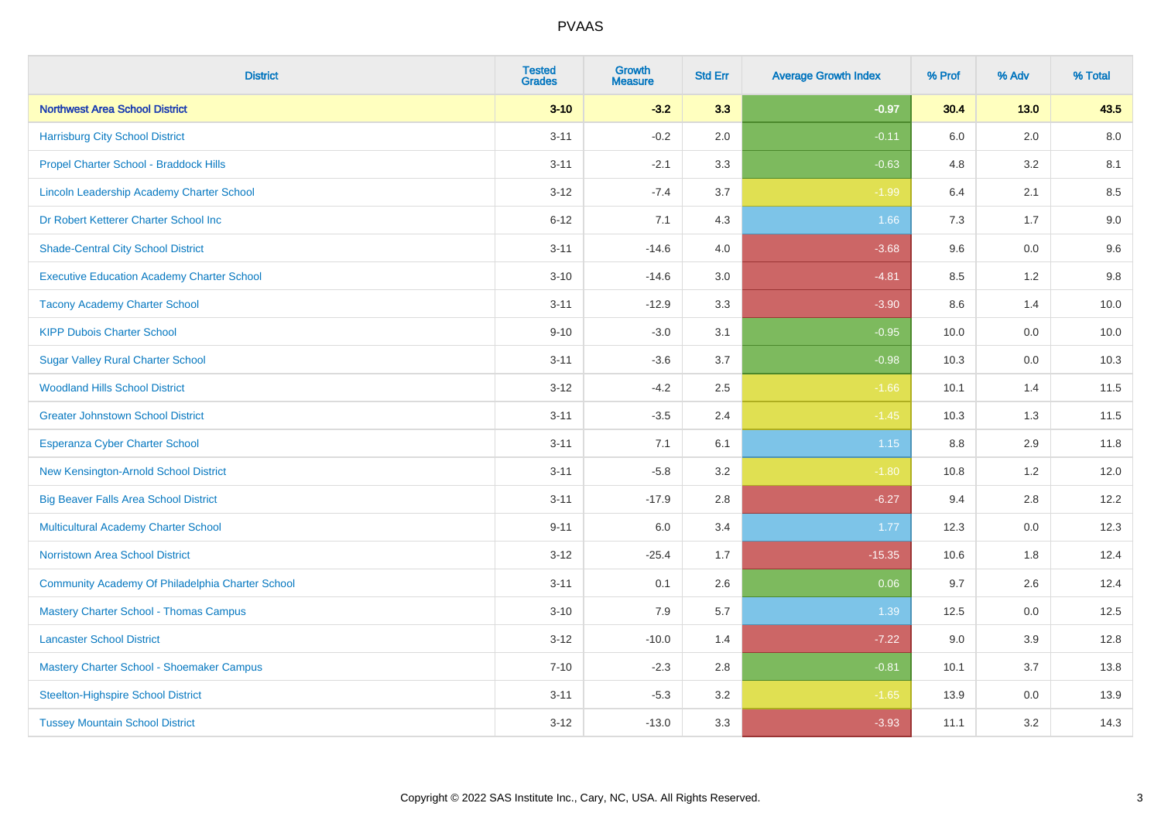| <b>District</b>                                   | <b>Tested</b><br><b>Grades</b> | <b>Growth</b><br><b>Measure</b> | <b>Std Err</b> | <b>Average Growth Index</b> | % Prof | % Adv   | % Total |
|---------------------------------------------------|--------------------------------|---------------------------------|----------------|-----------------------------|--------|---------|---------|
| <b>Northwest Area School District</b>             | $3 - 10$                       | $-3.2$                          | 3.3            | $-0.97$                     | 30.4   | $13.0$  | 43.5    |
| <b>Harrisburg City School District</b>            | $3 - 11$                       | $-0.2$                          | 2.0            | $-0.11$                     | 6.0    | 2.0     | 8.0     |
| Propel Charter School - Braddock Hills            | $3 - 11$                       | $-2.1$                          | 3.3            | $-0.63$                     | 4.8    | 3.2     | 8.1     |
| Lincoln Leadership Academy Charter School         | $3 - 12$                       | $-7.4$                          | 3.7            | $-1.99$                     | 6.4    | 2.1     | 8.5     |
| Dr Robert Ketterer Charter School Inc             | $6 - 12$                       | 7.1                             | 4.3            | 1.66                        | 7.3    | 1.7     | 9.0     |
| <b>Shade-Central City School District</b>         | $3 - 11$                       | $-14.6$                         | 4.0            | $-3.68$                     | 9.6    | 0.0     | 9.6     |
| <b>Executive Education Academy Charter School</b> | $3 - 10$                       | $-14.6$                         | 3.0            | $-4.81$                     | 8.5    | 1.2     | 9.8     |
| <b>Tacony Academy Charter School</b>              | $3 - 11$                       | $-12.9$                         | 3.3            | $-3.90$                     | 8.6    | 1.4     | 10.0    |
| <b>KIPP Dubois Charter School</b>                 | $9 - 10$                       | $-3.0$                          | 3.1            | $-0.95$                     | 10.0   | 0.0     | 10.0    |
| <b>Sugar Valley Rural Charter School</b>          | $3 - 11$                       | $-3.6$                          | 3.7            | $-0.98$                     | 10.3   | 0.0     | 10.3    |
| <b>Woodland Hills School District</b>             | $3 - 12$                       | $-4.2$                          | 2.5            | $-1.66$                     | 10.1   | 1.4     | 11.5    |
| <b>Greater Johnstown School District</b>          | $3 - 11$                       | $-3.5$                          | 2.4            | $-1.45$                     | 10.3   | 1.3     | 11.5    |
| Esperanza Cyber Charter School                    | $3 - 11$                       | 7.1                             | 6.1            | 1.15                        | 8.8    | 2.9     | 11.8    |
| New Kensington-Arnold School District             | $3 - 11$                       | $-5.8$                          | 3.2            | $-1.80$                     | 10.8   | 1.2     | 12.0    |
| <b>Big Beaver Falls Area School District</b>      | $3 - 11$                       | $-17.9$                         | 2.8            | $-6.27$                     | 9.4    | 2.8     | 12.2    |
| <b>Multicultural Academy Charter School</b>       | $9 - 11$                       | 6.0                             | 3.4            | 1.77                        | 12.3   | 0.0     | 12.3    |
| <b>Norristown Area School District</b>            | $3 - 12$                       | $-25.4$                         | 1.7            | $-15.35$                    | 10.6   | 1.8     | 12.4    |
| Community Academy Of Philadelphia Charter School  | $3 - 11$                       | 0.1                             | 2.6            | 0.06                        | 9.7    | 2.6     | 12.4    |
| <b>Mastery Charter School - Thomas Campus</b>     | $3 - 10$                       | 7.9                             | 5.7            | 1.39                        | 12.5   | 0.0     | 12.5    |
| <b>Lancaster School District</b>                  | $3 - 12$                       | $-10.0$                         | 1.4            | $-7.22$                     | 9.0    | 3.9     | 12.8    |
| Mastery Charter School - Shoemaker Campus         | $7 - 10$                       | $-2.3$                          | 2.8            | $-0.81$                     | 10.1   | 3.7     | 13.8    |
| <b>Steelton-Highspire School District</b>         | $3 - 11$                       | $-5.3$                          | 3.2            | $-1.65$                     | 13.9   | $0.0\,$ | 13.9    |
| <b>Tussey Mountain School District</b>            | $3 - 12$                       | $-13.0$                         | 3.3            | $-3.93$                     | 11.1   | 3.2     | 14.3    |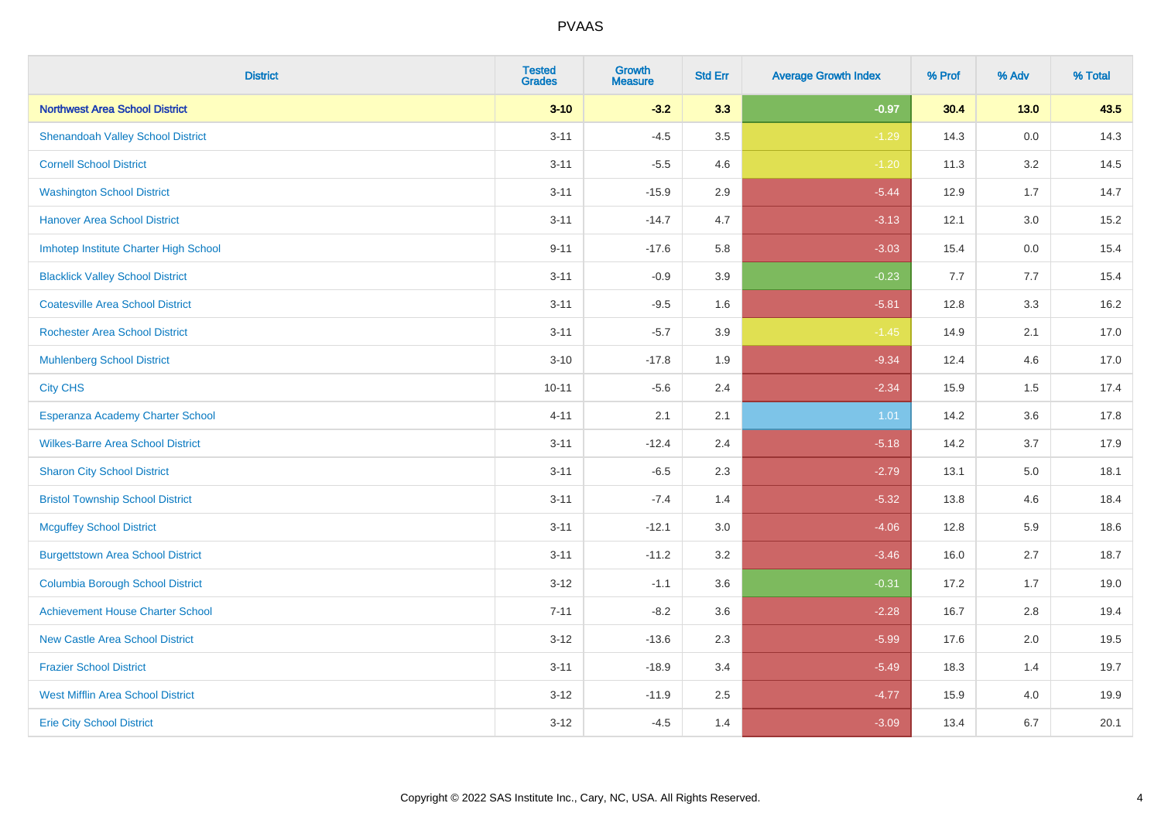| <b>District</b>                          | <b>Tested</b><br><b>Grades</b> | <b>Growth</b><br><b>Measure</b> | <b>Std Err</b> | <b>Average Growth Index</b> | % Prof | % Adv   | % Total |
|------------------------------------------|--------------------------------|---------------------------------|----------------|-----------------------------|--------|---------|---------|
| <b>Northwest Area School District</b>    | $3 - 10$                       | $-3.2$                          | 3.3            | $-0.97$                     | 30.4   | $13.0$  | 43.5    |
| <b>Shenandoah Valley School District</b> | $3 - 11$                       | $-4.5$                          | 3.5            | $-1.29$                     | 14.3   | $0.0\,$ | 14.3    |
| <b>Cornell School District</b>           | $3 - 11$                       | $-5.5$                          | 4.6            | $-1.20$                     | 11.3   | 3.2     | 14.5    |
| <b>Washington School District</b>        | $3 - 11$                       | $-15.9$                         | 2.9            | $-5.44$                     | 12.9   | 1.7     | 14.7    |
| <b>Hanover Area School District</b>      | $3 - 11$                       | $-14.7$                         | 4.7            | $-3.13$                     | 12.1   | 3.0     | 15.2    |
| Imhotep Institute Charter High School    | $9 - 11$                       | $-17.6$                         | 5.8            | $-3.03$                     | 15.4   | 0.0     | 15.4    |
| <b>Blacklick Valley School District</b>  | $3 - 11$                       | $-0.9$                          | 3.9            | $-0.23$                     | 7.7    | 7.7     | 15.4    |
| <b>Coatesville Area School District</b>  | $3 - 11$                       | $-9.5$                          | 1.6            | $-5.81$                     | 12.8   | 3.3     | 16.2    |
| <b>Rochester Area School District</b>    | $3 - 11$                       | $-5.7$                          | 3.9            | $-1.45$                     | 14.9   | 2.1     | 17.0    |
| <b>Muhlenberg School District</b>        | $3 - 10$                       | $-17.8$                         | 1.9            | $-9.34$                     | 12.4   | 4.6     | 17.0    |
| <b>City CHS</b>                          | $10 - 11$                      | $-5.6$                          | 2.4            | $-2.34$                     | 15.9   | 1.5     | 17.4    |
| Esperanza Academy Charter School         | $4 - 11$                       | 2.1                             | 2.1            | 1.01                        | 14.2   | 3.6     | 17.8    |
| <b>Wilkes-Barre Area School District</b> | $3 - 11$                       | $-12.4$                         | 2.4            | $-5.18$                     | 14.2   | 3.7     | 17.9    |
| <b>Sharon City School District</b>       | $3 - 11$                       | $-6.5$                          | 2.3            | $-2.79$                     | 13.1   | 5.0     | 18.1    |
| <b>Bristol Township School District</b>  | $3 - 11$                       | $-7.4$                          | 1.4            | $-5.32$                     | 13.8   | 4.6     | 18.4    |
| <b>Mcguffey School District</b>          | $3 - 11$                       | $-12.1$                         | 3.0            | $-4.06$                     | 12.8   | 5.9     | 18.6    |
| <b>Burgettstown Area School District</b> | $3 - 11$                       | $-11.2$                         | 3.2            | $-3.46$                     | 16.0   | 2.7     | 18.7    |
| <b>Columbia Borough School District</b>  | $3 - 12$                       | $-1.1$                          | 3.6            | $-0.31$                     | 17.2   | 1.7     | 19.0    |
| <b>Achievement House Charter School</b>  | $7 - 11$                       | $-8.2$                          | 3.6            | $-2.28$                     | 16.7   | 2.8     | 19.4    |
| <b>New Castle Area School District</b>   | $3 - 12$                       | $-13.6$                         | 2.3            | $-5.99$                     | 17.6   | 2.0     | 19.5    |
| <b>Frazier School District</b>           | $3 - 11$                       | $-18.9$                         | 3.4            | $-5.49$                     | 18.3   | 1.4     | 19.7    |
| <b>West Mifflin Area School District</b> | $3 - 12$                       | $-11.9$                         | 2.5            | $-4.77$                     | 15.9   | 4.0     | 19.9    |
| <b>Erie City School District</b>         | $3 - 12$                       | $-4.5$                          | 1.4            | $-3.09$                     | 13.4   | 6.7     | 20.1    |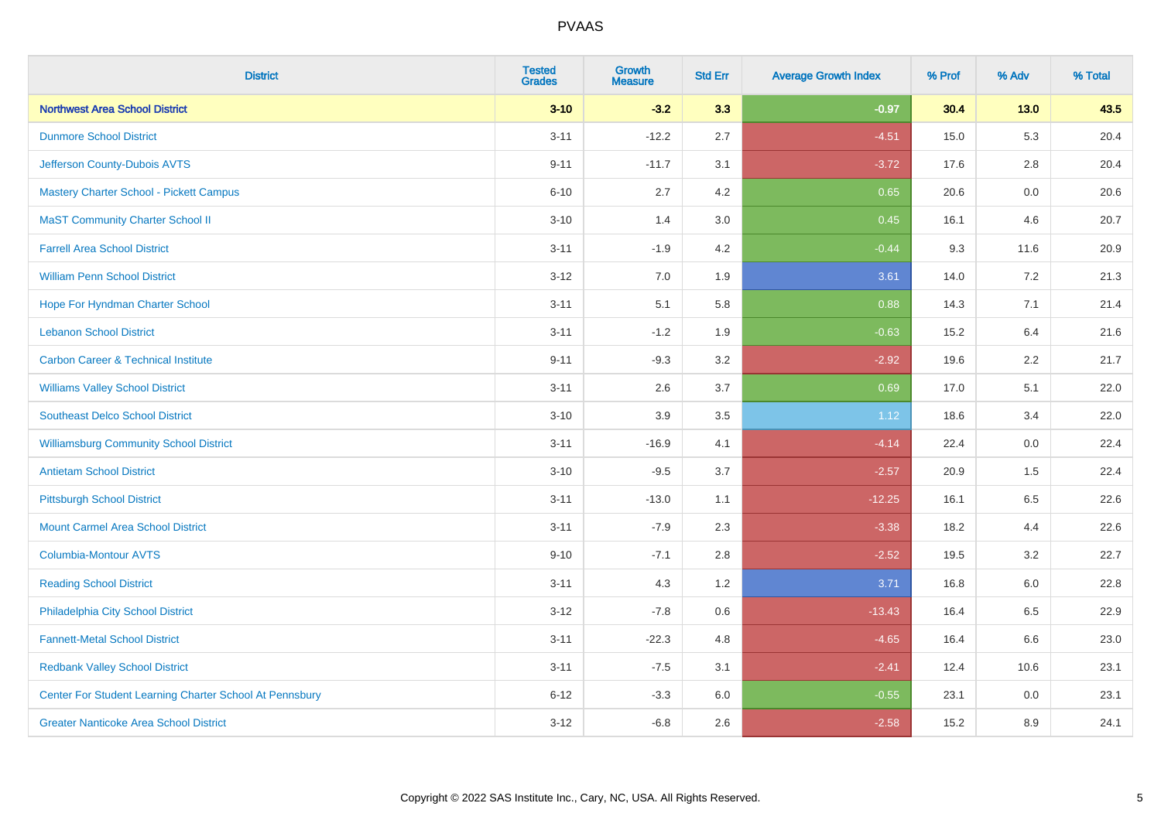| <b>District</b>                                         | <b>Tested</b><br><b>Grades</b> | <b>Growth</b><br><b>Measure</b> | <b>Std Err</b> | <b>Average Growth Index</b> | % Prof | % Adv   | % Total |
|---------------------------------------------------------|--------------------------------|---------------------------------|----------------|-----------------------------|--------|---------|---------|
| <b>Northwest Area School District</b>                   | $3 - 10$                       | $-3.2$                          | 3.3            | $-0.97$                     | 30.4   | $13.0$  | 43.5    |
| <b>Dunmore School District</b>                          | $3 - 11$                       | $-12.2$                         | 2.7            | $-4.51$                     | 15.0   | 5.3     | 20.4    |
| Jefferson County-Dubois AVTS                            | $9 - 11$                       | $-11.7$                         | 3.1            | $-3.72$                     | 17.6   | 2.8     | 20.4    |
| <b>Mastery Charter School - Pickett Campus</b>          | $6 - 10$                       | 2.7                             | 4.2            | 0.65                        | 20.6   | $0.0\,$ | 20.6    |
| <b>MaST Community Charter School II</b>                 | $3 - 10$                       | 1.4                             | 3.0            | 0.45                        | 16.1   | 4.6     | 20.7    |
| <b>Farrell Area School District</b>                     | $3 - 11$                       | $-1.9$                          | 4.2            | $-0.44$                     | 9.3    | 11.6    | 20.9    |
| <b>William Penn School District</b>                     | $3 - 12$                       | 7.0                             | 1.9            | 3.61                        | 14.0   | 7.2     | 21.3    |
| Hope For Hyndman Charter School                         | $3 - 11$                       | 5.1                             | 5.8            | 0.88                        | 14.3   | 7.1     | 21.4    |
| <b>Lebanon School District</b>                          | $3 - 11$                       | $-1.2$                          | 1.9            | $-0.63$                     | 15.2   | 6.4     | 21.6    |
| <b>Carbon Career &amp; Technical Institute</b>          | $9 - 11$                       | $-9.3$                          | 3.2            | $-2.92$                     | 19.6   | $2.2\,$ | 21.7    |
| <b>Williams Valley School District</b>                  | $3 - 11$                       | 2.6                             | 3.7            | 0.69                        | 17.0   | 5.1     | 22.0    |
| <b>Southeast Delco School District</b>                  | $3 - 10$                       | 3.9                             | 3.5            | 1.12                        | 18.6   | 3.4     | 22.0    |
| <b>Williamsburg Community School District</b>           | $3 - 11$                       | $-16.9$                         | 4.1            | $-4.14$                     | 22.4   | $0.0\,$ | 22.4    |
| <b>Antietam School District</b>                         | $3 - 10$                       | $-9.5$                          | 3.7            | $-2.57$                     | 20.9   | 1.5     | 22.4    |
| <b>Pittsburgh School District</b>                       | $3 - 11$                       | $-13.0$                         | 1.1            | $-12.25$                    | 16.1   | 6.5     | 22.6    |
| <b>Mount Carmel Area School District</b>                | $3 - 11$                       | $-7.9$                          | 2.3            | $-3.38$                     | 18.2   | 4.4     | 22.6    |
| <b>Columbia-Montour AVTS</b>                            | $9 - 10$                       | $-7.1$                          | 2.8            | $-2.52$                     | 19.5   | 3.2     | 22.7    |
| <b>Reading School District</b>                          | $3 - 11$                       | 4.3                             | 1.2            | 3.71                        | 16.8   | 6.0     | 22.8    |
| Philadelphia City School District                       | $3 - 12$                       | $-7.8$                          | 0.6            | $-13.43$                    | 16.4   | 6.5     | 22.9    |
| <b>Fannett-Metal School District</b>                    | $3 - 11$                       | $-22.3$                         | 4.8            | $-4.65$                     | 16.4   | 6.6     | 23.0    |
| <b>Redbank Valley School District</b>                   | $3 - 11$                       | $-7.5$                          | 3.1            | $-2.41$                     | 12.4   | 10.6    | 23.1    |
| Center For Student Learning Charter School At Pennsbury | $6 - 12$                       | $-3.3$                          | 6.0            | $-0.55$                     | 23.1   | 0.0     | 23.1    |
| <b>Greater Nanticoke Area School District</b>           | $3 - 12$                       | $-6.8$                          | 2.6            | $-2.58$                     | 15.2   | 8.9     | 24.1    |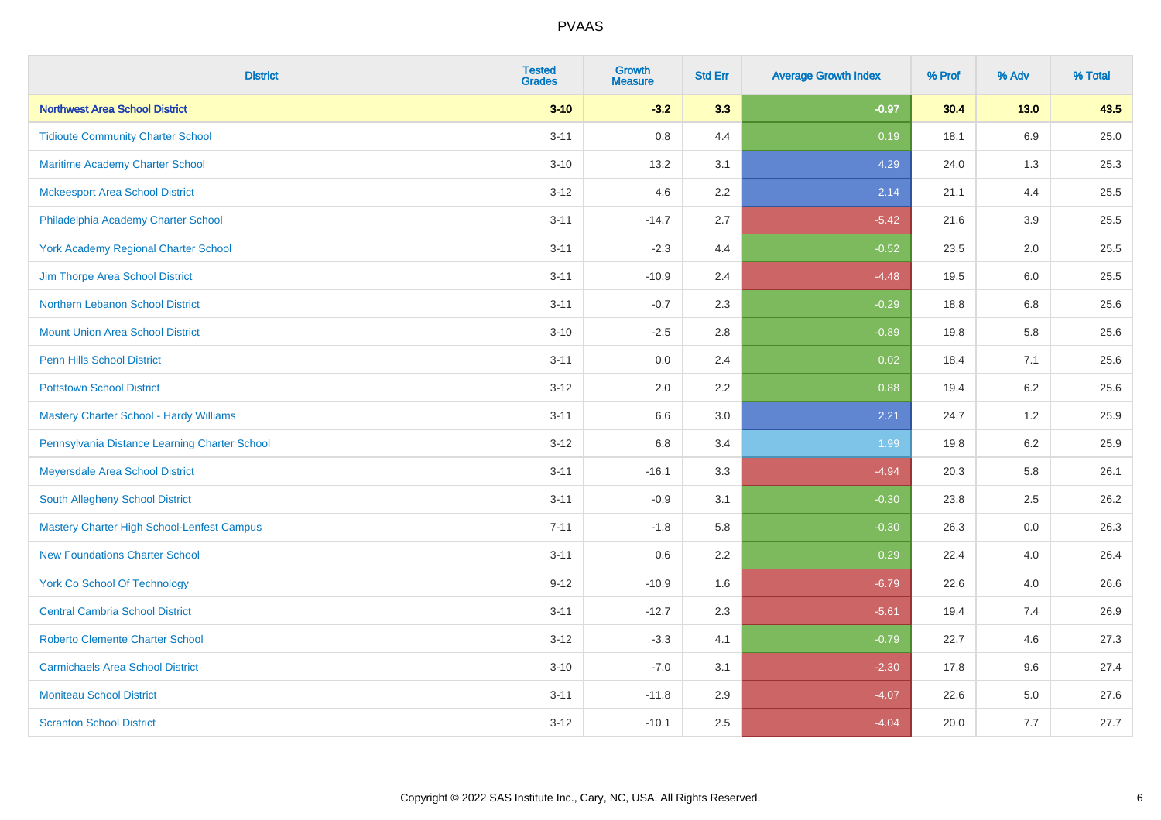| <b>District</b>                                   | <b>Tested</b><br><b>Grades</b> | <b>Growth</b><br><b>Measure</b> | <b>Std Err</b> | <b>Average Growth Index</b> | % Prof | % Adv   | % Total |
|---------------------------------------------------|--------------------------------|---------------------------------|----------------|-----------------------------|--------|---------|---------|
| <b>Northwest Area School District</b>             | $3 - 10$                       | $-3.2$                          | 3.3            | $-0.97$                     | 30.4   | $13.0$  | 43.5    |
| <b>Tidioute Community Charter School</b>          | $3 - 11$                       | 0.8                             | 4.4            | 0.19                        | 18.1   | 6.9     | 25.0    |
| <b>Maritime Academy Charter School</b>            | $3 - 10$                       | 13.2                            | 3.1            | 4.29                        | 24.0   | 1.3     | 25.3    |
| <b>Mckeesport Area School District</b>            | $3 - 12$                       | 4.6                             | 2.2            | 2.14                        | 21.1   | 4.4     | 25.5    |
| Philadelphia Academy Charter School               | $3 - 11$                       | $-14.7$                         | 2.7            | $-5.42$                     | 21.6   | 3.9     | 25.5    |
| <b>York Academy Regional Charter School</b>       | $3 - 11$                       | $-2.3$                          | 4.4            | $-0.52$                     | 23.5   | 2.0     | 25.5    |
| Jim Thorpe Area School District                   | $3 - 11$                       | $-10.9$                         | 2.4            | $-4.48$                     | 19.5   | 6.0     | 25.5    |
| Northern Lebanon School District                  | $3 - 11$                       | $-0.7$                          | 2.3            | $-0.29$                     | 18.8   | 6.8     | 25.6    |
| <b>Mount Union Area School District</b>           | $3 - 10$                       | $-2.5$                          | 2.8            | $-0.89$                     | 19.8   | 5.8     | 25.6    |
| <b>Penn Hills School District</b>                 | $3 - 11$                       | 0.0                             | 2.4            | 0.02                        | 18.4   | 7.1     | 25.6    |
| <b>Pottstown School District</b>                  | $3 - 12$                       | 2.0                             | 2.2            | 0.88                        | 19.4   | 6.2     | 25.6    |
| Mastery Charter School - Hardy Williams           | $3 - 11$                       | 6.6                             | 3.0            | 2.21                        | 24.7   | 1.2     | 25.9    |
| Pennsylvania Distance Learning Charter School     | $3 - 12$                       | $6.8\,$                         | 3.4            | 1.99                        | 19.8   | $6.2\,$ | 25.9    |
| Meyersdale Area School District                   | $3 - 11$                       | $-16.1$                         | 3.3            | $-4.94$                     | 20.3   | 5.8     | 26.1    |
| South Allegheny School District                   | $3 - 11$                       | $-0.9$                          | 3.1            | $-0.30$                     | 23.8   | 2.5     | 26.2    |
| <b>Mastery Charter High School-Lenfest Campus</b> | $7 - 11$                       | $-1.8$                          | 5.8            | $-0.30$                     | 26.3   | $0.0\,$ | 26.3    |
| <b>New Foundations Charter School</b>             | $3 - 11$                       | 0.6                             | 2.2            | 0.29                        | 22.4   | 4.0     | 26.4    |
| <b>York Co School Of Technology</b>               | $9 - 12$                       | $-10.9$                         | 1.6            | $-6.79$                     | 22.6   | 4.0     | 26.6    |
| <b>Central Cambria School District</b>            | $3 - 11$                       | $-12.7$                         | 2.3            | $-5.61$                     | 19.4   | 7.4     | 26.9    |
| <b>Roberto Clemente Charter School</b>            | $3 - 12$                       | $-3.3$                          | 4.1            | $-0.79$                     | 22.7   | 4.6     | 27.3    |
| <b>Carmichaels Area School District</b>           | $3 - 10$                       | $-7.0$                          | 3.1            | $-2.30$                     | 17.8   | 9.6     | 27.4    |
| <b>Moniteau School District</b>                   | $3 - 11$                       | $-11.8$                         | 2.9            | $-4.07$                     | 22.6   | 5.0     | 27.6    |
| <b>Scranton School District</b>                   | $3 - 12$                       | $-10.1$                         | 2.5            | $-4.04$                     | 20.0   | 7.7     | 27.7    |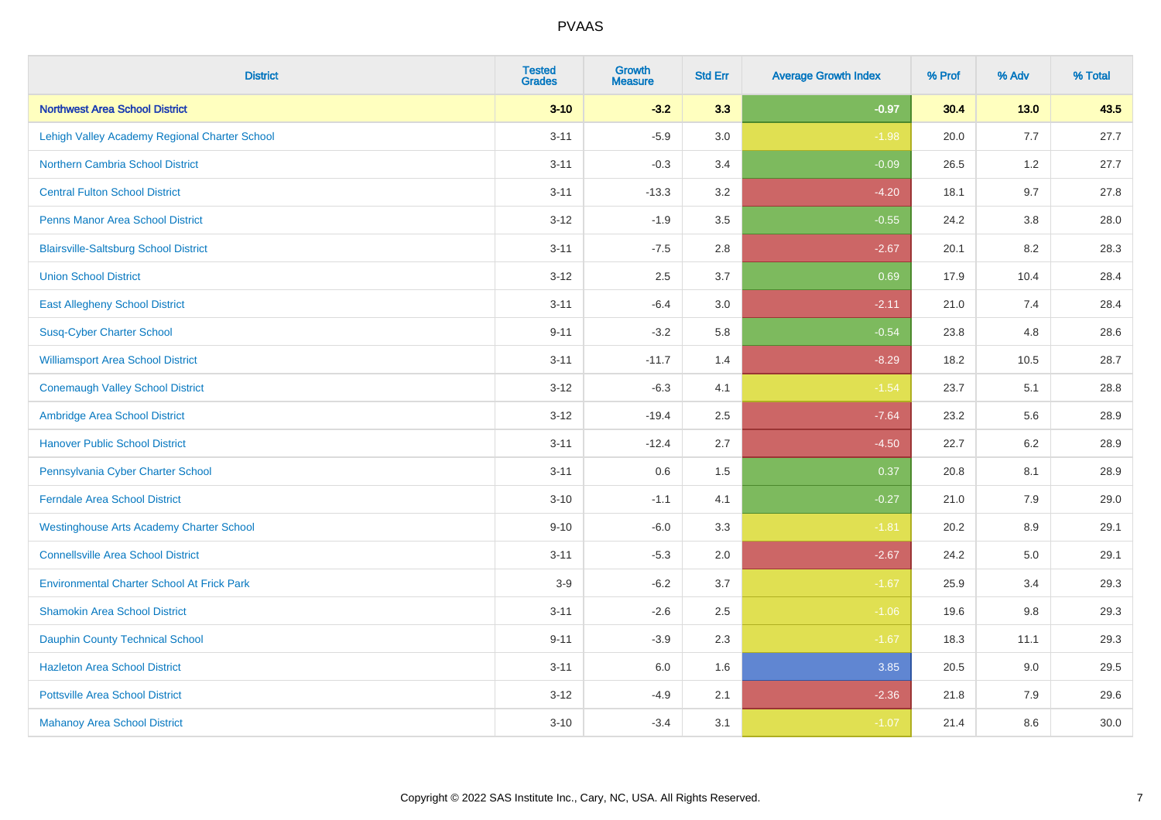| <b>District</b>                                   | <b>Tested</b><br><b>Grades</b> | <b>Growth</b><br><b>Measure</b> | <b>Std Err</b> | <b>Average Growth Index</b> | % Prof | % Adv   | % Total |
|---------------------------------------------------|--------------------------------|---------------------------------|----------------|-----------------------------|--------|---------|---------|
| <b>Northwest Area School District</b>             | $3 - 10$                       | $-3.2$                          | 3.3            | $-0.97$                     | 30.4   | $13.0$  | 43.5    |
| Lehigh Valley Academy Regional Charter School     | $3 - 11$                       | $-5.9$                          | 3.0            | $-1.98$                     | 20.0   | 7.7     | 27.7    |
| <b>Northern Cambria School District</b>           | $3 - 11$                       | $-0.3$                          | 3.4            | $-0.09$                     | 26.5   | 1.2     | 27.7    |
| <b>Central Fulton School District</b>             | $3 - 11$                       | $-13.3$                         | 3.2            | $-4.20$                     | 18.1   | 9.7     | 27.8    |
| <b>Penns Manor Area School District</b>           | $3 - 12$                       | $-1.9$                          | 3.5            | $-0.55$                     | 24.2   | 3.8     | 28.0    |
| <b>Blairsville-Saltsburg School District</b>      | $3 - 11$                       | $-7.5$                          | 2.8            | $-2.67$                     | 20.1   | 8.2     | 28.3    |
| <b>Union School District</b>                      | $3 - 12$                       | 2.5                             | 3.7            | 0.69                        | 17.9   | 10.4    | 28.4    |
| <b>East Allegheny School District</b>             | $3 - 11$                       | $-6.4$                          | 3.0            | $-2.11$                     | 21.0   | 7.4     | 28.4    |
| <b>Susq-Cyber Charter School</b>                  | $9 - 11$                       | $-3.2$                          | 5.8            | $-0.54$                     | 23.8   | 4.8     | 28.6    |
| <b>Williamsport Area School District</b>          | $3 - 11$                       | $-11.7$                         | 1.4            | $-8.29$                     | 18.2   | 10.5    | 28.7    |
| <b>Conemaugh Valley School District</b>           | $3 - 12$                       | $-6.3$                          | 4.1            | $-1.54$                     | 23.7   | 5.1     | 28.8    |
| Ambridge Area School District                     | $3 - 12$                       | $-19.4$                         | 2.5            | $-7.64$                     | 23.2   | 5.6     | 28.9    |
| <b>Hanover Public School District</b>             | $3 - 11$                       | $-12.4$                         | 2.7            | $-4.50$                     | 22.7   | $6.2\,$ | 28.9    |
| Pennsylvania Cyber Charter School                 | $3 - 11$                       | 0.6                             | 1.5            | 0.37                        | 20.8   | 8.1     | 28.9    |
| <b>Ferndale Area School District</b>              | $3 - 10$                       | $-1.1$                          | 4.1            | $-0.27$                     | 21.0   | 7.9     | 29.0    |
| <b>Westinghouse Arts Academy Charter School</b>   | $9 - 10$                       | $-6.0$                          | 3.3            | $-1.81$                     | 20.2   | $8.9\,$ | 29.1    |
| <b>Connellsville Area School District</b>         | $3 - 11$                       | $-5.3$                          | 2.0            | $-2.67$                     | 24.2   | 5.0     | 29.1    |
| <b>Environmental Charter School At Frick Park</b> | $3-9$                          | $-6.2$                          | 3.7            | $-1.67$                     | 25.9   | 3.4     | 29.3    |
| <b>Shamokin Area School District</b>              | $3 - 11$                       | $-2.6$                          | 2.5            | $-1.06$                     | 19.6   | 9.8     | 29.3    |
| <b>Dauphin County Technical School</b>            | $9 - 11$                       | $-3.9$                          | 2.3            | $-1.67$                     | 18.3   | 11.1    | 29.3    |
| <b>Hazleton Area School District</b>              | $3 - 11$                       | 6.0                             | 1.6            | 3.85                        | 20.5   | 9.0     | 29.5    |
| <b>Pottsville Area School District</b>            | $3 - 12$                       | $-4.9$                          | 2.1            | $-2.36$                     | 21.8   | 7.9     | 29.6    |
| <b>Mahanoy Area School District</b>               | $3 - 10$                       | $-3.4$                          | 3.1            | $-1.07$                     | 21.4   | 8.6     | 30.0    |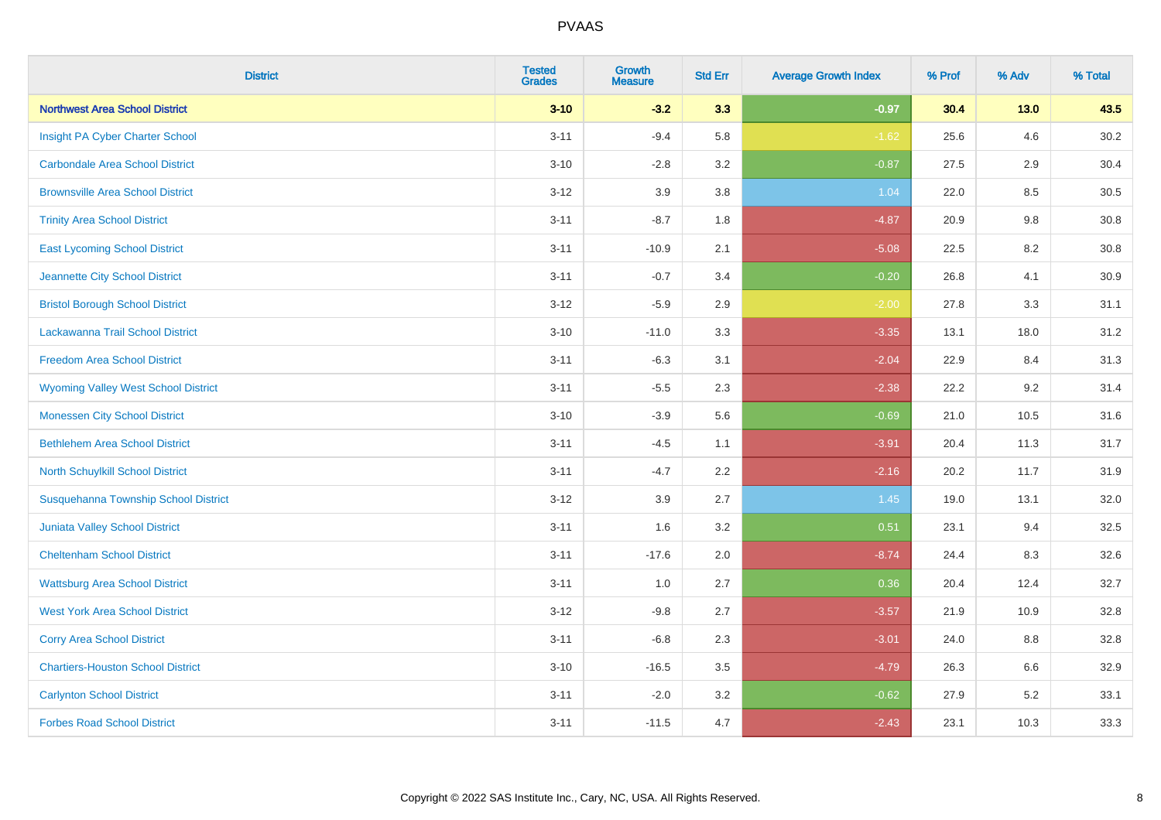| <b>District</b>                            | <b>Tested</b><br><b>Grades</b> | <b>Growth</b><br><b>Measure</b> | <b>Std Err</b> | <b>Average Growth Index</b> | % Prof | % Adv  | % Total |
|--------------------------------------------|--------------------------------|---------------------------------|----------------|-----------------------------|--------|--------|---------|
| <b>Northwest Area School District</b>      | $3 - 10$                       | $-3.2$                          | 3.3            | $-0.97$                     | 30.4   | $13.0$ | 43.5    |
| Insight PA Cyber Charter School            | $3 - 11$                       | $-9.4$                          | 5.8            | $-1.62$                     | 25.6   | 4.6    | 30.2    |
| <b>Carbondale Area School District</b>     | $3 - 10$                       | $-2.8$                          | 3.2            | $-0.87$                     | 27.5   | 2.9    | 30.4    |
| <b>Brownsville Area School District</b>    | $3 - 12$                       | 3.9                             | 3.8            | 1.04                        | 22.0   | 8.5    | 30.5    |
| <b>Trinity Area School District</b>        | $3 - 11$                       | $-8.7$                          | 1.8            | $-4.87$                     | 20.9   | 9.8    | 30.8    |
| <b>East Lycoming School District</b>       | $3 - 11$                       | $-10.9$                         | 2.1            | $-5.08$                     | 22.5   | 8.2    | 30.8    |
| Jeannette City School District             | $3 - 11$                       | $-0.7$                          | 3.4            | $-0.20$                     | 26.8   | 4.1    | 30.9    |
| <b>Bristol Borough School District</b>     | $3 - 12$                       | $-5.9$                          | 2.9            | $-2.00$                     | 27.8   | 3.3    | 31.1    |
| Lackawanna Trail School District           | $3 - 10$                       | $-11.0$                         | 3.3            | $-3.35$                     | 13.1   | 18.0   | 31.2    |
| <b>Freedom Area School District</b>        | $3 - 11$                       | $-6.3$                          | 3.1            | $-2.04$                     | 22.9   | 8.4    | 31.3    |
| <b>Wyoming Valley West School District</b> | $3 - 11$                       | $-5.5$                          | 2.3            | $-2.38$                     | 22.2   | 9.2    | 31.4    |
| <b>Monessen City School District</b>       | $3 - 10$                       | $-3.9$                          | 5.6            | $-0.69$                     | 21.0   | 10.5   | 31.6    |
| <b>Bethlehem Area School District</b>      | $3 - 11$                       | $-4.5$                          | 1.1            | $-3.91$                     | 20.4   | 11.3   | 31.7    |
| North Schuylkill School District           | $3 - 11$                       | $-4.7$                          | 2.2            | $-2.16$                     | 20.2   | 11.7   | 31.9    |
| Susquehanna Township School District       | $3 - 12$                       | 3.9                             | 2.7            | 1.45                        | 19.0   | 13.1   | 32.0    |
| <b>Juniata Valley School District</b>      | $3 - 11$                       | 1.6                             | 3.2            | 0.51                        | 23.1   | 9.4    | 32.5    |
| <b>Cheltenham School District</b>          | $3 - 11$                       | $-17.6$                         | 2.0            | $-8.74$                     | 24.4   | 8.3    | 32.6    |
| <b>Wattsburg Area School District</b>      | $3 - 11$                       | 1.0                             | 2.7            | 0.36                        | 20.4   | 12.4   | 32.7    |
| <b>West York Area School District</b>      | $3 - 12$                       | $-9.8$                          | 2.7            | $-3.57$                     | 21.9   | 10.9   | 32.8    |
| <b>Corry Area School District</b>          | $3 - 11$                       | $-6.8$                          | 2.3            | $-3.01$                     | 24.0   | 8.8    | 32.8    |
| <b>Chartiers-Houston School District</b>   | $3 - 10$                       | $-16.5$                         | 3.5            | $-4.79$                     | 26.3   | 6.6    | 32.9    |
| <b>Carlynton School District</b>           | $3 - 11$                       | $-2.0$                          | 3.2            | $-0.62$                     | 27.9   | 5.2    | 33.1    |
| <b>Forbes Road School District</b>         | $3 - 11$                       | $-11.5$                         | 4.7            | $-2.43$                     | 23.1   | 10.3   | 33.3    |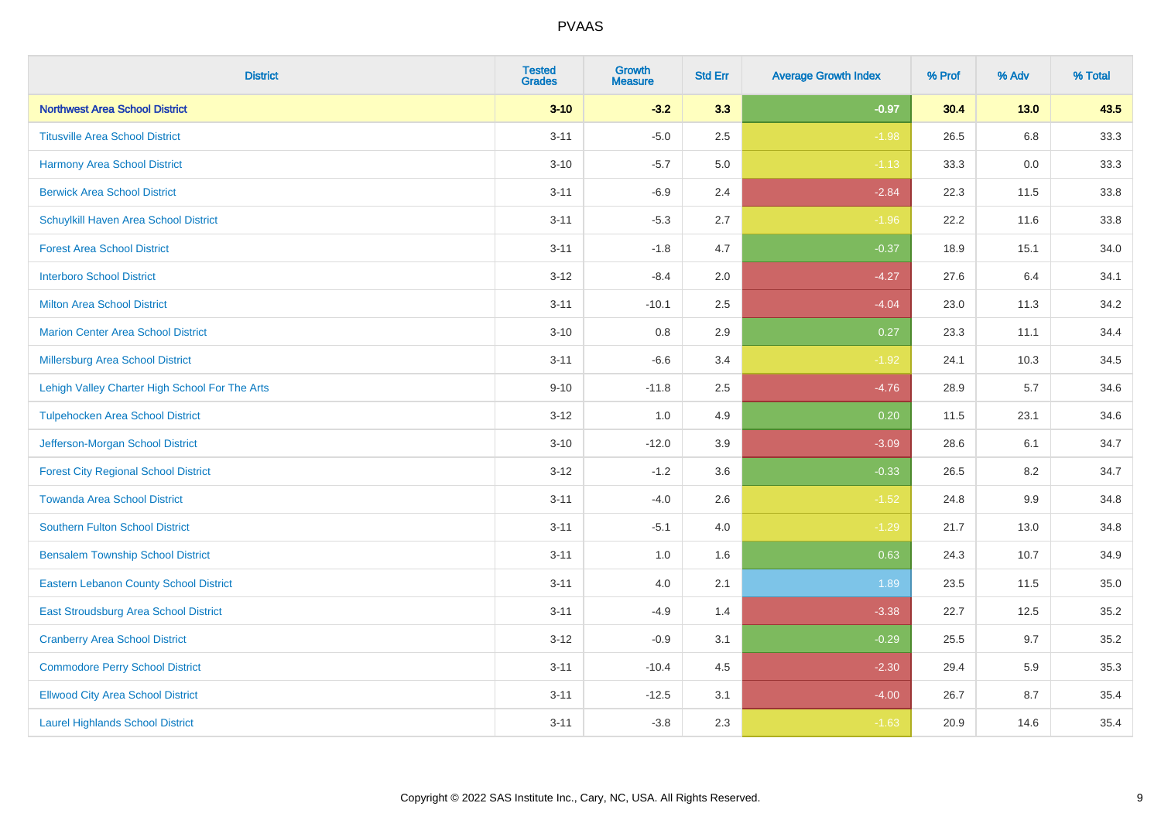| <b>District</b>                                | <b>Tested</b><br><b>Grades</b> | <b>Growth</b><br><b>Measure</b> | <b>Std Err</b> | <b>Average Growth Index</b> | % Prof | % Adv   | % Total |
|------------------------------------------------|--------------------------------|---------------------------------|----------------|-----------------------------|--------|---------|---------|
| <b>Northwest Area School District</b>          | $3 - 10$                       | $-3.2$                          | 3.3            | $-0.97$                     | 30.4   | $13.0$  | 43.5    |
| <b>Titusville Area School District</b>         | $3 - 11$                       | $-5.0$                          | 2.5            | $-1.98$                     | 26.5   | 6.8     | 33.3    |
| <b>Harmony Area School District</b>            | $3 - 10$                       | $-5.7$                          | 5.0            | $-1.13$                     | 33.3   | 0.0     | 33.3    |
| <b>Berwick Area School District</b>            | $3 - 11$                       | $-6.9$                          | 2.4            | $-2.84$                     | 22.3   | 11.5    | 33.8    |
| Schuylkill Haven Area School District          | $3 - 11$                       | $-5.3$                          | 2.7            | $-1.96$                     | 22.2   | 11.6    | 33.8    |
| <b>Forest Area School District</b>             | $3 - 11$                       | $-1.8$                          | 4.7            | $-0.37$                     | 18.9   | 15.1    | 34.0    |
| <b>Interboro School District</b>               | $3 - 12$                       | $-8.4$                          | 2.0            | $-4.27$                     | 27.6   | 6.4     | 34.1    |
| <b>Milton Area School District</b>             | $3 - 11$                       | $-10.1$                         | 2.5            | $-4.04$                     | 23.0   | 11.3    | 34.2    |
| <b>Marion Center Area School District</b>      | $3 - 10$                       | 0.8                             | 2.9            | 0.27                        | 23.3   | 11.1    | 34.4    |
| Millersburg Area School District               | $3 - 11$                       | $-6.6$                          | 3.4            | $-1.92$                     | 24.1   | 10.3    | 34.5    |
| Lehigh Valley Charter High School For The Arts | $9 - 10$                       | $-11.8$                         | 2.5            | $-4.76$                     | 28.9   | 5.7     | 34.6    |
| <b>Tulpehocken Area School District</b>        | $3 - 12$                       | 1.0                             | 4.9            | 0.20                        | 11.5   | 23.1    | 34.6    |
| Jefferson-Morgan School District               | $3 - 10$                       | $-12.0$                         | 3.9            | $-3.09$                     | 28.6   | 6.1     | 34.7    |
| <b>Forest City Regional School District</b>    | $3 - 12$                       | $-1.2$                          | 3.6            | $-0.33$                     | 26.5   | 8.2     | 34.7    |
| <b>Towanda Area School District</b>            | $3 - 11$                       | $-4.0$                          | 2.6            | $-1.52$                     | 24.8   | $9.9\,$ | 34.8    |
| <b>Southern Fulton School District</b>         | $3 - 11$                       | $-5.1$                          | 4.0            | $-1.29$                     | 21.7   | 13.0    | 34.8    |
| <b>Bensalem Township School District</b>       | $3 - 11$                       | 1.0                             | 1.6            | 0.63                        | 24.3   | 10.7    | 34.9    |
| <b>Eastern Lebanon County School District</b>  | $3 - 11$                       | 4.0                             | 2.1            | 1.89                        | 23.5   | 11.5    | 35.0    |
| East Stroudsburg Area School District          | $3 - 11$                       | $-4.9$                          | 1.4            | $-3.38$                     | 22.7   | 12.5    | 35.2    |
| <b>Cranberry Area School District</b>          | $3 - 12$                       | $-0.9$                          | 3.1            | $-0.29$                     | 25.5   | 9.7     | 35.2    |
| <b>Commodore Perry School District</b>         | $3 - 11$                       | $-10.4$                         | 4.5            | $-2.30$                     | 29.4   | 5.9     | 35.3    |
| <b>Ellwood City Area School District</b>       | $3 - 11$                       | $-12.5$                         | 3.1            | $-4.00$                     | 26.7   | 8.7     | 35.4    |
| <b>Laurel Highlands School District</b>        | $3 - 11$                       | $-3.8$                          | 2.3            | $-1.63$                     | 20.9   | 14.6    | 35.4    |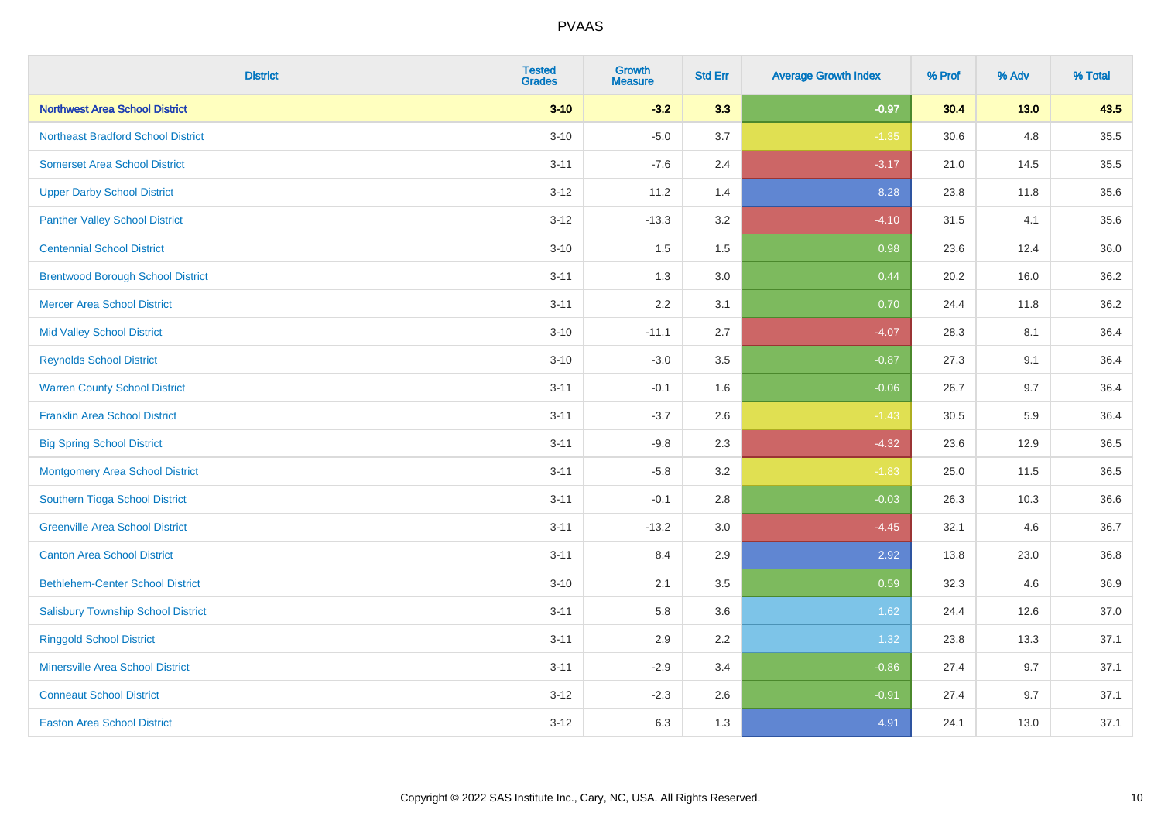| <b>District</b>                           | <b>Tested</b><br><b>Grades</b> | <b>Growth</b><br><b>Measure</b> | <b>Std Err</b> | <b>Average Growth Index</b> | % Prof | % Adv  | % Total |
|-------------------------------------------|--------------------------------|---------------------------------|----------------|-----------------------------|--------|--------|---------|
| <b>Northwest Area School District</b>     | $3 - 10$                       | $-3.2$                          | 3.3            | $-0.97$                     | 30.4   | $13.0$ | 43.5    |
| <b>Northeast Bradford School District</b> | $3 - 10$                       | $-5.0$                          | 3.7            | $-1.35$                     | 30.6   | 4.8    | 35.5    |
| <b>Somerset Area School District</b>      | $3 - 11$                       | $-7.6$                          | 2.4            | $-3.17$                     | 21.0   | 14.5   | 35.5    |
| <b>Upper Darby School District</b>        | $3 - 12$                       | 11.2                            | 1.4            | 8.28                        | 23.8   | 11.8   | 35.6    |
| <b>Panther Valley School District</b>     | $3-12$                         | $-13.3$                         | 3.2            | $-4.10$                     | 31.5   | 4.1    | 35.6    |
| <b>Centennial School District</b>         | $3 - 10$                       | 1.5                             | 1.5            | 0.98                        | 23.6   | 12.4   | 36.0    |
| <b>Brentwood Borough School District</b>  | $3 - 11$                       | 1.3                             | 3.0            | 0.44                        | 20.2   | 16.0   | 36.2    |
| <b>Mercer Area School District</b>        | $3 - 11$                       | 2.2                             | 3.1            | 0.70                        | 24.4   | 11.8   | 36.2    |
| <b>Mid Valley School District</b>         | $3 - 10$                       | $-11.1$                         | 2.7            | $-4.07$                     | 28.3   | 8.1    | 36.4    |
| <b>Reynolds School District</b>           | $3 - 10$                       | $-3.0$                          | 3.5            | $-0.87$                     | 27.3   | 9.1    | 36.4    |
| <b>Warren County School District</b>      | $3 - 11$                       | $-0.1$                          | 1.6            | $-0.06$                     | 26.7   | 9.7    | 36.4    |
| <b>Franklin Area School District</b>      | $3 - 11$                       | $-3.7$                          | 2.6            | $-1.43$                     | 30.5   | 5.9    | 36.4    |
| <b>Big Spring School District</b>         | $3 - 11$                       | $-9.8$                          | 2.3            | $-4.32$                     | 23.6   | 12.9   | 36.5    |
| <b>Montgomery Area School District</b>    | $3 - 11$                       | $-5.8$                          | 3.2            | $-1.83$                     | 25.0   | 11.5   | 36.5    |
| Southern Tioga School District            | $3 - 11$                       | $-0.1$                          | 2.8            | $-0.03$                     | 26.3   | 10.3   | 36.6    |
| <b>Greenville Area School District</b>    | $3 - 11$                       | $-13.2$                         | 3.0            | $-4.45$                     | 32.1   | 4.6    | 36.7    |
| <b>Canton Area School District</b>        | $3 - 11$                       | 8.4                             | 2.9            | 2.92                        | 13.8   | 23.0   | 36.8    |
| <b>Bethlehem-Center School District</b>   | $3 - 10$                       | 2.1                             | 3.5            | 0.59                        | 32.3   | 4.6    | 36.9    |
| <b>Salisbury Township School District</b> | $3 - 11$                       | 5.8                             | 3.6            | 1.62                        | 24.4   | 12.6   | 37.0    |
| <b>Ringgold School District</b>           | $3 - 11$                       | 2.9                             | 2.2            | 1.32                        | 23.8   | 13.3   | 37.1    |
| <b>Minersville Area School District</b>   | $3 - 11$                       | $-2.9$                          | 3.4            | $-0.86$                     | 27.4   | 9.7    | 37.1    |
| <b>Conneaut School District</b>           | $3-12$                         | $-2.3$                          | 2.6            | $-0.91$                     | 27.4   | 9.7    | 37.1    |
| <b>Easton Area School District</b>        | $3 - 12$                       | 6.3                             | 1.3            | 4.91                        | 24.1   | 13.0   | 37.1    |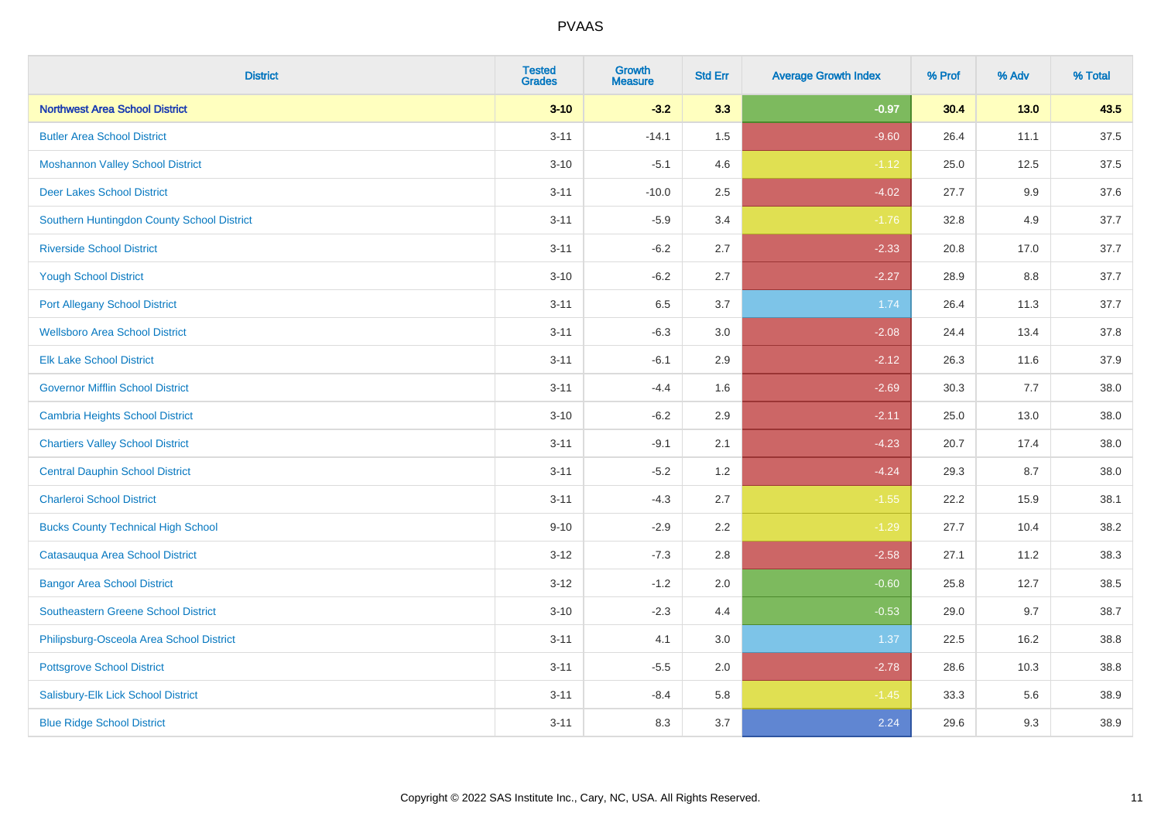| <b>District</b>                            | <b>Tested</b><br><b>Grades</b> | <b>Growth</b><br><b>Measure</b> | <b>Std Err</b> | <b>Average Growth Index</b> | % Prof | % Adv  | % Total |
|--------------------------------------------|--------------------------------|---------------------------------|----------------|-----------------------------|--------|--------|---------|
| <b>Northwest Area School District</b>      | $3 - 10$                       | $-3.2$                          | 3.3            | $-0.97$                     | 30.4   | $13.0$ | 43.5    |
| <b>Butler Area School District</b>         | $3 - 11$                       | $-14.1$                         | 1.5            | $-9.60$                     | 26.4   | 11.1   | 37.5    |
| <b>Moshannon Valley School District</b>    | $3 - 10$                       | $-5.1$                          | 4.6            | $-1.12$                     | 25.0   | 12.5   | 37.5    |
| <b>Deer Lakes School District</b>          | $3 - 11$                       | $-10.0$                         | 2.5            | $-4.02$                     | 27.7   | 9.9    | 37.6    |
| Southern Huntingdon County School District | $3 - 11$                       | $-5.9$                          | 3.4            | $-1.76$                     | 32.8   | 4.9    | 37.7    |
| <b>Riverside School District</b>           | $3 - 11$                       | $-6.2$                          | 2.7            | $-2.33$                     | 20.8   | 17.0   | 37.7    |
| <b>Yough School District</b>               | $3 - 10$                       | $-6.2$                          | 2.7            | $-2.27$                     | 28.9   | 8.8    | 37.7    |
| <b>Port Allegany School District</b>       | $3 - 11$                       | 6.5                             | 3.7            | 1.74                        | 26.4   | 11.3   | 37.7    |
| <b>Wellsboro Area School District</b>      | $3 - 11$                       | $-6.3$                          | 3.0            | $-2.08$                     | 24.4   | 13.4   | 37.8    |
| <b>Elk Lake School District</b>            | $3 - 11$                       | $-6.1$                          | 2.9            | $-2.12$                     | 26.3   | 11.6   | 37.9    |
| <b>Governor Mifflin School District</b>    | $3 - 11$                       | $-4.4$                          | 1.6            | $-2.69$                     | 30.3   | 7.7    | 38.0    |
| <b>Cambria Heights School District</b>     | $3 - 10$                       | $-6.2$                          | 2.9            | $-2.11$                     | 25.0   | 13.0   | 38.0    |
| <b>Chartiers Valley School District</b>    | $3 - 11$                       | $-9.1$                          | 2.1            | $-4.23$                     | 20.7   | 17.4   | 38.0    |
| <b>Central Dauphin School District</b>     | $3 - 11$                       | $-5.2$                          | 1.2            | $-4.24$                     | 29.3   | 8.7    | 38.0    |
| <b>Charleroi School District</b>           | $3 - 11$                       | $-4.3$                          | 2.7            | $-1.55$                     | 22.2   | 15.9   | 38.1    |
| <b>Bucks County Technical High School</b>  | $9 - 10$                       | $-2.9$                          | 2.2            | $-1.29$                     | 27.7   | 10.4   | 38.2    |
| Catasauqua Area School District            | $3 - 12$                       | $-7.3$                          | 2.8            | $-2.58$                     | 27.1   | 11.2   | 38.3    |
| <b>Bangor Area School District</b>         | $3 - 12$                       | $-1.2$                          | 2.0            | $-0.60$                     | 25.8   | 12.7   | 38.5    |
| <b>Southeastern Greene School District</b> | $3 - 10$                       | $-2.3$                          | 4.4            | $-0.53$                     | 29.0   | 9.7    | 38.7    |
| Philipsburg-Osceola Area School District   | $3 - 11$                       | 4.1                             | 3.0            | 1.37                        | 22.5   | 16.2   | 38.8    |
| <b>Pottsgrove School District</b>          | $3 - 11$                       | $-5.5$                          | 2.0            | $-2.78$                     | 28.6   | 10.3   | 38.8    |
| Salisbury-Elk Lick School District         | $3 - 11$                       | $-8.4$                          | 5.8            | $-1.45$                     | 33.3   | 5.6    | 38.9    |
| <b>Blue Ridge School District</b>          | $3 - 11$                       | 8.3                             | 3.7            | 2.24                        | 29.6   | 9.3    | 38.9    |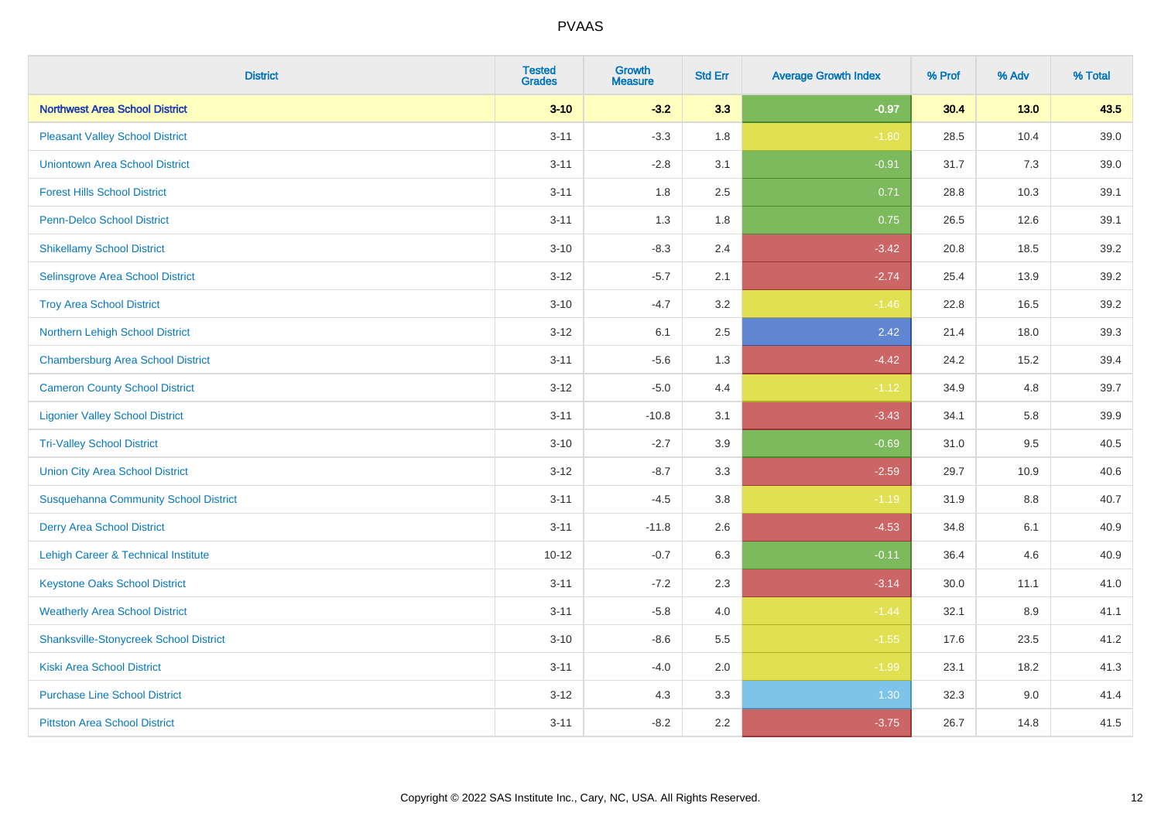| <b>District</b>                                | <b>Tested</b><br><b>Grades</b> | <b>Growth</b><br><b>Measure</b> | <b>Std Err</b> | <b>Average Growth Index</b> | % Prof | % Adv   | % Total |
|------------------------------------------------|--------------------------------|---------------------------------|----------------|-----------------------------|--------|---------|---------|
| <b>Northwest Area School District</b>          | $3 - 10$                       | $-3.2$                          | 3.3            | $-0.97$                     | 30.4   | $13.0$  | 43.5    |
| <b>Pleasant Valley School District</b>         | $3 - 11$                       | $-3.3$                          | 1.8            | $-1.80$                     | 28.5   | 10.4    | 39.0    |
| <b>Uniontown Area School District</b>          | $3 - 11$                       | $-2.8$                          | 3.1            | $-0.91$                     | 31.7   | 7.3     | 39.0    |
| <b>Forest Hills School District</b>            | $3 - 11$                       | 1.8                             | 2.5            | 0.71                        | 28.8   | 10.3    | 39.1    |
| <b>Penn-Delco School District</b>              | $3 - 11$                       | 1.3                             | 1.8            | 0.75                        | 26.5   | 12.6    | 39.1    |
| <b>Shikellamy School District</b>              | $3 - 10$                       | $-8.3$                          | 2.4            | $-3.42$                     | 20.8   | 18.5    | 39.2    |
| Selinsgrove Area School District               | $3 - 12$                       | $-5.7$                          | 2.1            | $-2.74$                     | 25.4   | 13.9    | 39.2    |
| <b>Troy Area School District</b>               | $3 - 10$                       | $-4.7$                          | 3.2            | $-1.46$                     | 22.8   | 16.5    | 39.2    |
| Northern Lehigh School District                | $3-12$                         | 6.1                             | 2.5            | 2.42                        | 21.4   | 18.0    | 39.3    |
| <b>Chambersburg Area School District</b>       | $3 - 11$                       | $-5.6$                          | 1.3            | $-4.42$                     | 24.2   | 15.2    | 39.4    |
| <b>Cameron County School District</b>          | $3 - 12$                       | $-5.0$                          | 4.4            | $-1.12$                     | 34.9   | 4.8     | 39.7    |
| <b>Ligonier Valley School District</b>         | $3 - 11$                       | $-10.8$                         | 3.1            | $-3.43$                     | 34.1   | 5.8     | 39.9    |
| <b>Tri-Valley School District</b>              | $3 - 10$                       | $-2.7$                          | 3.9            | $-0.69$                     | 31.0   | 9.5     | 40.5    |
| <b>Union City Area School District</b>         | $3 - 12$                       | $-8.7$                          | 3.3            | $-2.59$                     | 29.7   | 10.9    | 40.6    |
| <b>Susquehanna Community School District</b>   | $3 - 11$                       | $-4.5$                          | $3.8\,$        | $-1.19$                     | 31.9   | $8.8\,$ | 40.7    |
| <b>Derry Area School District</b>              | $3 - 11$                       | $-11.8$                         | 2.6            | $-4.53$                     | 34.8   | 6.1     | 40.9    |
| <b>Lehigh Career &amp; Technical Institute</b> | $10 - 12$                      | $-0.7$                          | 6.3            | $-0.11$                     | 36.4   | 4.6     | 40.9    |
| <b>Keystone Oaks School District</b>           | $3 - 11$                       | $-7.2$                          | 2.3            | $-3.14$                     | 30.0   | 11.1    | 41.0    |
| <b>Weatherly Area School District</b>          | $3 - 11$                       | $-5.8$                          | 4.0            | $-1.44$                     | 32.1   | 8.9     | 41.1    |
| <b>Shanksville-Stonycreek School District</b>  | $3 - 10$                       | $-8.6$                          | 5.5            | $-1.55$                     | 17.6   | 23.5    | 41.2    |
| <b>Kiski Area School District</b>              | $3 - 11$                       | $-4.0$                          | 2.0            | $-1.99$                     | 23.1   | 18.2    | 41.3    |
| <b>Purchase Line School District</b>           | $3 - 12$                       | 4.3                             | 3.3            | 1.30                        | 32.3   | $9.0\,$ | 41.4    |
| <b>Pittston Area School District</b>           | $3 - 11$                       | $-8.2$                          | 2.2            | $-3.75$                     | 26.7   | 14.8    | 41.5    |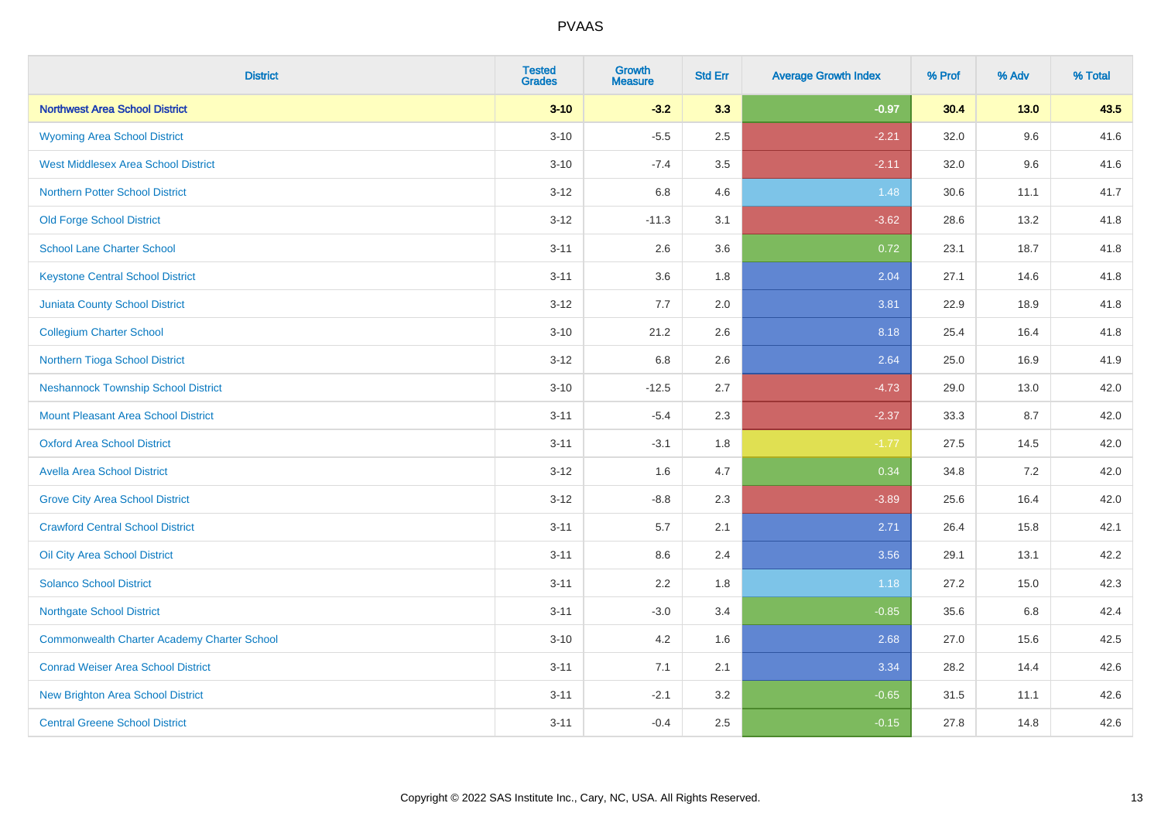| <b>District</b>                                    | <b>Tested</b><br><b>Grades</b> | <b>Growth</b><br><b>Measure</b> | <b>Std Err</b> | <b>Average Growth Index</b> | % Prof | % Adv   | % Total |
|----------------------------------------------------|--------------------------------|---------------------------------|----------------|-----------------------------|--------|---------|---------|
| <b>Northwest Area School District</b>              | $3 - 10$                       | $-3.2$                          | 3.3            | $-0.97$                     | 30.4   | $13.0$  | 43.5    |
| <b>Wyoming Area School District</b>                | $3 - 10$                       | $-5.5$                          | 2.5            | $-2.21$                     | 32.0   | 9.6     | 41.6    |
| <b>West Middlesex Area School District</b>         | $3 - 10$                       | $-7.4$                          | 3.5            | $-2.11$                     | 32.0   | 9.6     | 41.6    |
| <b>Northern Potter School District</b>             | $3 - 12$                       | 6.8                             | 4.6            | 1.48                        | 30.6   | 11.1    | 41.7    |
| <b>Old Forge School District</b>                   | $3-12$                         | $-11.3$                         | 3.1            | $-3.62$                     | 28.6   | 13.2    | 41.8    |
| <b>School Lane Charter School</b>                  | $3 - 11$                       | 2.6                             | 3.6            | 0.72                        | 23.1   | 18.7    | 41.8    |
| <b>Keystone Central School District</b>            | $3 - 11$                       | 3.6                             | 1.8            | 2.04                        | 27.1   | 14.6    | 41.8    |
| <b>Juniata County School District</b>              | $3 - 12$                       | 7.7                             | 2.0            | 3.81                        | 22.9   | 18.9    | 41.8    |
| <b>Collegium Charter School</b>                    | $3 - 10$                       | 21.2                            | 2.6            | 8.18                        | 25.4   | 16.4    | 41.8    |
| Northern Tioga School District                     | $3 - 12$                       | 6.8                             | 2.6            | 2.64                        | 25.0   | 16.9    | 41.9    |
| <b>Neshannock Township School District</b>         | $3 - 10$                       | $-12.5$                         | 2.7            | $-4.73$                     | 29.0   | 13.0    | 42.0    |
| Mount Pleasant Area School District                | $3 - 11$                       | $-5.4$                          | 2.3            | $-2.37$                     | 33.3   | 8.7     | 42.0    |
| <b>Oxford Area School District</b>                 | $3 - 11$                       | $-3.1$                          | 1.8            | $-1.77$                     | 27.5   | 14.5    | 42.0    |
| <b>Avella Area School District</b>                 | $3 - 12$                       | 1.6                             | 4.7            | 0.34                        | 34.8   | $7.2\,$ | 42.0    |
| <b>Grove City Area School District</b>             | $3 - 12$                       | $-8.8$                          | 2.3            | $-3.89$                     | 25.6   | 16.4    | 42.0    |
| <b>Crawford Central School District</b>            | $3 - 11$                       | 5.7                             | 2.1            | 2.71                        | 26.4   | 15.8    | 42.1    |
| <b>Oil City Area School District</b>               | $3 - 11$                       | 8.6                             | 2.4            | 3.56                        | 29.1   | 13.1    | 42.2    |
| <b>Solanco School District</b>                     | $3 - 11$                       | 2.2                             | 1.8            | 1.18                        | 27.2   | 15.0    | 42.3    |
| <b>Northgate School District</b>                   | $3 - 11$                       | $-3.0$                          | 3.4            | $-0.85$                     | 35.6   | 6.8     | 42.4    |
| <b>Commonwealth Charter Academy Charter School</b> | $3 - 10$                       | 4.2                             | 1.6            | 2.68                        | 27.0   | 15.6    | 42.5    |
| <b>Conrad Weiser Area School District</b>          | $3 - 11$                       | 7.1                             | 2.1            | 3.34                        | 28.2   | 14.4    | 42.6    |
| New Brighton Area School District                  | $3 - 11$                       | $-2.1$                          | 3.2            | $-0.65$                     | 31.5   | 11.1    | 42.6    |
| <b>Central Greene School District</b>              | $3 - 11$                       | $-0.4$                          | 2.5            | $-0.15$                     | 27.8   | 14.8    | 42.6    |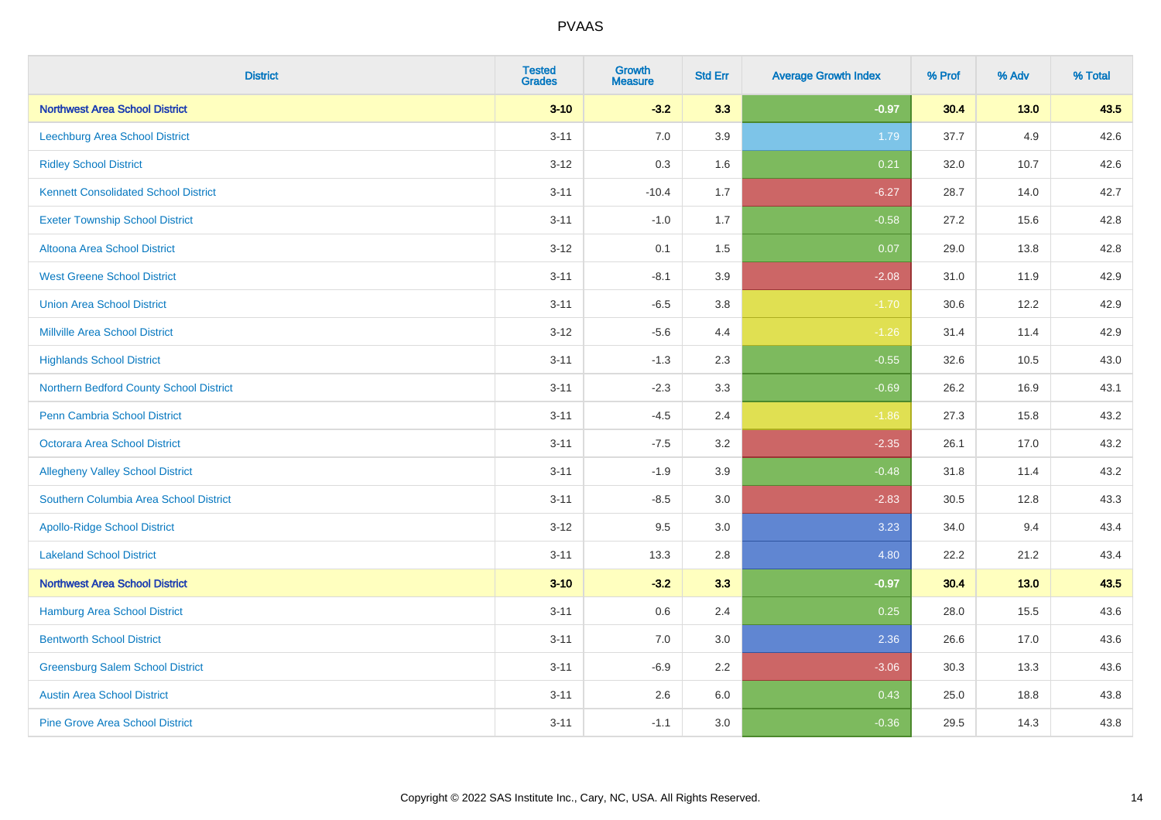| <b>District</b>                             | <b>Tested</b><br><b>Grades</b> | <b>Growth</b><br><b>Measure</b> | <b>Std Err</b> | <b>Average Growth Index</b> | % Prof | % Adv  | % Total |
|---------------------------------------------|--------------------------------|---------------------------------|----------------|-----------------------------|--------|--------|---------|
| <b>Northwest Area School District</b>       | $3 - 10$                       | $-3.2$                          | 3.3            | $-0.97$                     | 30.4   | $13.0$ | 43.5    |
| Leechburg Area School District              | $3 - 11$                       | 7.0                             | 3.9            | 1.79                        | 37.7   | 4.9    | 42.6    |
| <b>Ridley School District</b>               | $3 - 12$                       | 0.3                             | 1.6            | 0.21                        | 32.0   | 10.7   | 42.6    |
| <b>Kennett Consolidated School District</b> | $3 - 11$                       | $-10.4$                         | 1.7            | $-6.27$                     | 28.7   | 14.0   | 42.7    |
| <b>Exeter Township School District</b>      | $3 - 11$                       | $-1.0$                          | 1.7            | $-0.58$                     | 27.2   | 15.6   | 42.8    |
| Altoona Area School District                | $3 - 12$                       | 0.1                             | 1.5            | 0.07                        | 29.0   | 13.8   | 42.8    |
| <b>West Greene School District</b>          | $3 - 11$                       | $-8.1$                          | 3.9            | $-2.08$                     | 31.0   | 11.9   | 42.9    |
| <b>Union Area School District</b>           | $3 - 11$                       | $-6.5$                          | 3.8            | $-1.70$                     | 30.6   | 12.2   | 42.9    |
| <b>Millville Area School District</b>       | $3 - 12$                       | $-5.6$                          | 4.4            | $-1.26$                     | 31.4   | 11.4   | 42.9    |
| <b>Highlands School District</b>            | $3 - 11$                       | $-1.3$                          | 2.3            | $-0.55$                     | 32.6   | 10.5   | 43.0    |
| Northern Bedford County School District     | $3 - 11$                       | $-2.3$                          | 3.3            | $-0.69$                     | 26.2   | 16.9   | 43.1    |
| <b>Penn Cambria School District</b>         | $3 - 11$                       | $-4.5$                          | 2.4            | $-1.86$                     | 27.3   | 15.8   | 43.2    |
| <b>Octorara Area School District</b>        | $3 - 11$                       | $-7.5$                          | 3.2            | $-2.35$                     | 26.1   | 17.0   | 43.2    |
| <b>Allegheny Valley School District</b>     | $3 - 11$                       | $-1.9$                          | 3.9            | $-0.48$                     | 31.8   | 11.4   | 43.2    |
| Southern Columbia Area School District      | $3 - 11$                       | $-8.5$                          | 3.0            | $-2.83$                     | 30.5   | 12.8   | 43.3    |
| <b>Apollo-Ridge School District</b>         | $3-12$                         | 9.5                             | 3.0            | 3.23                        | 34.0   | 9.4    | 43.4    |
| <b>Lakeland School District</b>             | $3 - 11$                       | 13.3                            | 2.8            | 4.80                        | 22.2   | 21.2   | 43.4    |
| <b>Northwest Area School District</b>       | $3 - 10$                       | $-3.2$                          | 3.3            | $-0.97$                     | 30.4   | $13.0$ | 43.5    |
| Hamburg Area School District                | $3 - 11$                       | 0.6                             | 2.4            | 0.25                        | 28.0   | 15.5   | 43.6    |
| <b>Bentworth School District</b>            | $3 - 11$                       | 7.0                             | 3.0            | 2.36                        | 26.6   | 17.0   | 43.6    |
| <b>Greensburg Salem School District</b>     | $3 - 11$                       | $-6.9$                          | 2.2            | $-3.06$                     | 30.3   | 13.3   | 43.6    |
| <b>Austin Area School District</b>          | $3 - 11$                       | 2.6                             | 6.0            | 0.43                        | 25.0   | 18.8   | 43.8    |
| <b>Pine Grove Area School District</b>      | $3 - 11$                       | $-1.1$                          | 3.0            | $-0.36$                     | 29.5   | 14.3   | 43.8    |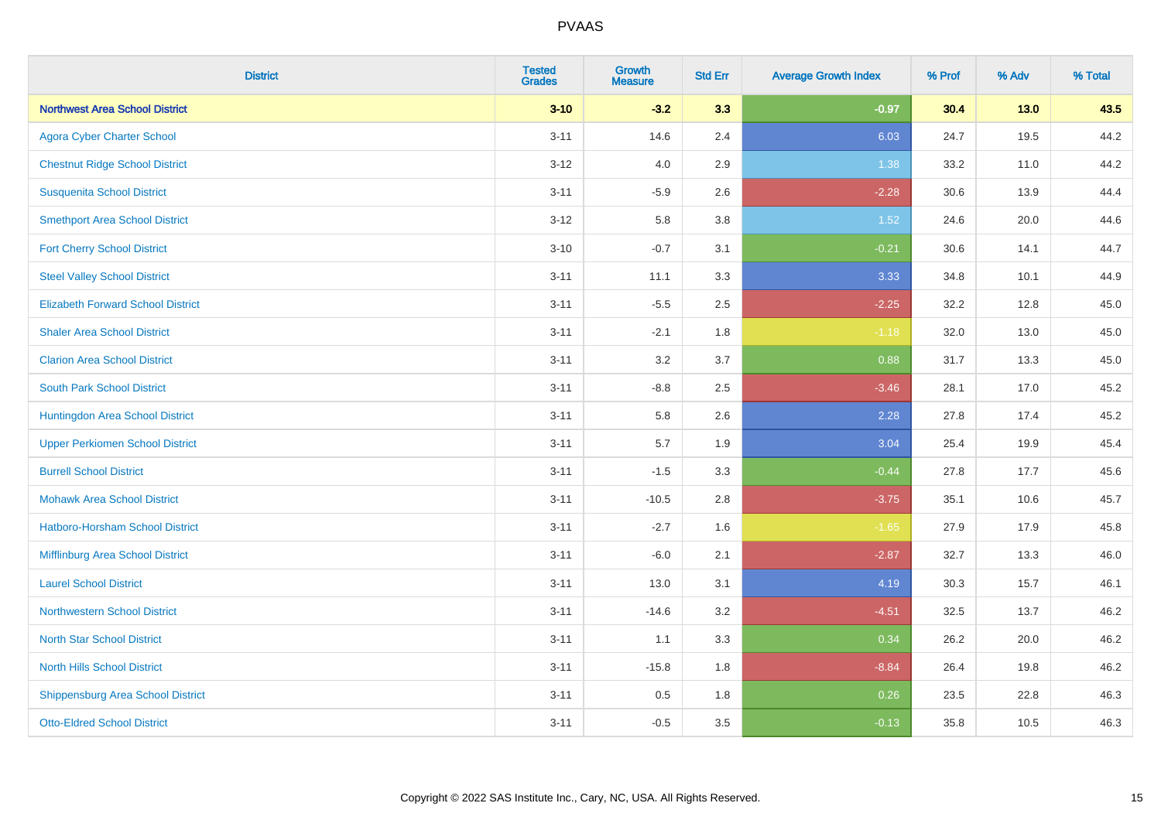| <b>District</b>                          | <b>Tested</b><br><b>Grades</b> | <b>Growth</b><br><b>Measure</b> | <b>Std Err</b> | <b>Average Growth Index</b> | % Prof | % Adv  | % Total |
|------------------------------------------|--------------------------------|---------------------------------|----------------|-----------------------------|--------|--------|---------|
| <b>Northwest Area School District</b>    | $3 - 10$                       | $-3.2$                          | 3.3            | $-0.97$                     | 30.4   | $13.0$ | 43.5    |
| <b>Agora Cyber Charter School</b>        | $3 - 11$                       | 14.6                            | 2.4            | 6.03                        | 24.7   | 19.5   | 44.2    |
| <b>Chestnut Ridge School District</b>    | $3 - 12$                       | 4.0                             | 2.9            | 1.38                        | 33.2   | 11.0   | 44.2    |
| <b>Susquenita School District</b>        | $3 - 11$                       | $-5.9$                          | 2.6            | $-2.28$                     | 30.6   | 13.9   | 44.4    |
| <b>Smethport Area School District</b>    | $3 - 12$                       | 5.8                             | 3.8            | 1.52                        | 24.6   | 20.0   | 44.6    |
| <b>Fort Cherry School District</b>       | $3 - 10$                       | $-0.7$                          | 3.1            | $-0.21$                     | 30.6   | 14.1   | 44.7    |
| <b>Steel Valley School District</b>      | $3 - 11$                       | 11.1                            | 3.3            | 3.33                        | 34.8   | 10.1   | 44.9    |
| <b>Elizabeth Forward School District</b> | $3 - 11$                       | $-5.5$                          | 2.5            | $-2.25$                     | 32.2   | 12.8   | 45.0    |
| <b>Shaler Area School District</b>       | $3 - 11$                       | $-2.1$                          | 1.8            | $-1.18$                     | 32.0   | 13.0   | 45.0    |
| <b>Clarion Area School District</b>      | $3 - 11$                       | 3.2                             | 3.7            | 0.88                        | 31.7   | 13.3   | 45.0    |
| <b>South Park School District</b>        | $3 - 11$                       | $-8.8$                          | 2.5            | $-3.46$                     | 28.1   | 17.0   | 45.2    |
| Huntingdon Area School District          | $3 - 11$                       | 5.8                             | 2.6            | 2.28                        | 27.8   | 17.4   | 45.2    |
| <b>Upper Perkiomen School District</b>   | $3 - 11$                       | 5.7                             | 1.9            | 3.04                        | 25.4   | 19.9   | 45.4    |
| <b>Burrell School District</b>           | $3 - 11$                       | $-1.5$                          | 3.3            | $-0.44$                     | 27.8   | 17.7   | 45.6    |
| <b>Mohawk Area School District</b>       | $3 - 11$                       | $-10.5$                         | 2.8            | $-3.75$                     | 35.1   | 10.6   | 45.7    |
| Hatboro-Horsham School District          | $3 - 11$                       | $-2.7$                          | 1.6            | $-1.65$                     | 27.9   | 17.9   | 45.8    |
| Mifflinburg Area School District         | $3 - 11$                       | $-6.0$                          | 2.1            | $-2.87$                     | 32.7   | 13.3   | 46.0    |
| <b>Laurel School District</b>            | $3 - 11$                       | 13.0                            | 3.1            | 4.19                        | 30.3   | 15.7   | 46.1    |
| Northwestern School District             | $3 - 11$                       | $-14.6$                         | 3.2            | $-4.51$                     | 32.5   | 13.7   | 46.2    |
| <b>North Star School District</b>        | $3 - 11$                       | 1.1                             | 3.3            | 0.34                        | 26.2   | 20.0   | 46.2    |
| <b>North Hills School District</b>       | $3 - 11$                       | $-15.8$                         | 1.8            | $-8.84$                     | 26.4   | 19.8   | 46.2    |
| <b>Shippensburg Area School District</b> | $3 - 11$                       | 0.5                             | 1.8            | 0.26                        | 23.5   | 22.8   | 46.3    |
| <b>Otto-Eldred School District</b>       | $3 - 11$                       | $-0.5$                          | 3.5            | $-0.13$                     | 35.8   | 10.5   | 46.3    |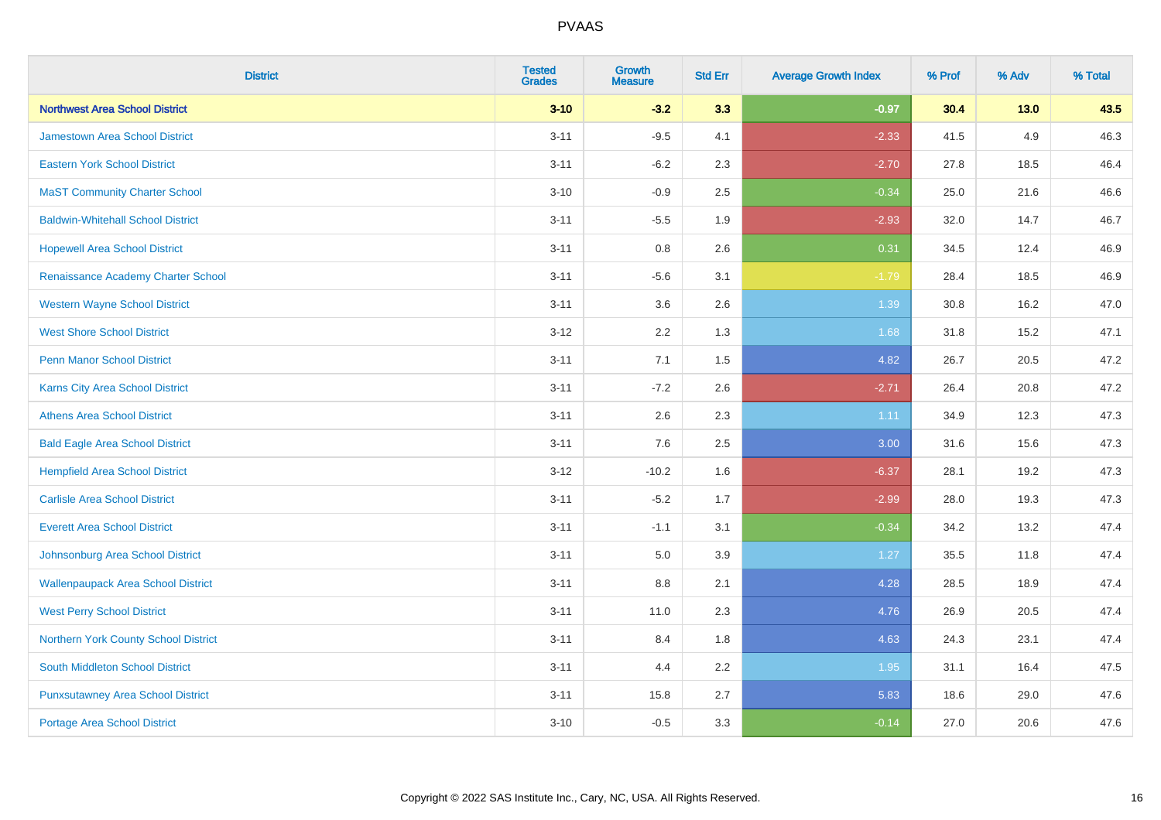| <b>District</b>                           | <b>Tested</b><br><b>Grades</b> | <b>Growth</b><br><b>Measure</b> | <b>Std Err</b> | <b>Average Growth Index</b> | % Prof | % Adv  | % Total |
|-------------------------------------------|--------------------------------|---------------------------------|----------------|-----------------------------|--------|--------|---------|
| <b>Northwest Area School District</b>     | $3 - 10$                       | $-3.2$                          | 3.3            | $-0.97$                     | 30.4   | $13.0$ | 43.5    |
| <b>Jamestown Area School District</b>     | $3 - 11$                       | $-9.5$                          | 4.1            | $-2.33$                     | 41.5   | 4.9    | 46.3    |
| <b>Eastern York School District</b>       | $3 - 11$                       | $-6.2$                          | 2.3            | $-2.70$                     | 27.8   | 18.5   | 46.4    |
| <b>MaST Community Charter School</b>      | $3 - 10$                       | $-0.9$                          | 2.5            | $-0.34$                     | 25.0   | 21.6   | 46.6    |
| <b>Baldwin-Whitehall School District</b>  | $3 - 11$                       | $-5.5$                          | 1.9            | $-2.93$                     | 32.0   | 14.7   | 46.7    |
| <b>Hopewell Area School District</b>      | $3 - 11$                       | 0.8                             | 2.6            | 0.31                        | 34.5   | 12.4   | 46.9    |
| Renaissance Academy Charter School        | $3 - 11$                       | $-5.6$                          | 3.1            | $-1.79$                     | 28.4   | 18.5   | 46.9    |
| <b>Western Wayne School District</b>      | $3 - 11$                       | 3.6                             | 2.6            | 1.39                        | 30.8   | 16.2   | 47.0    |
| <b>West Shore School District</b>         | $3-12$                         | 2.2                             | 1.3            | 1.68                        | 31.8   | 15.2   | 47.1    |
| <b>Penn Manor School District</b>         | $3 - 11$                       | 7.1                             | 1.5            | 4.82                        | 26.7   | 20.5   | 47.2    |
| Karns City Area School District           | $3 - 11$                       | $-7.2$                          | 2.6            | $-2.71$                     | 26.4   | 20.8   | 47.2    |
| <b>Athens Area School District</b>        | $3 - 11$                       | 2.6                             | 2.3            | 1.11                        | 34.9   | 12.3   | 47.3    |
| <b>Bald Eagle Area School District</b>    | $3 - 11$                       | 7.6                             | 2.5            | 3.00                        | 31.6   | 15.6   | 47.3    |
| <b>Hempfield Area School District</b>     | $3 - 12$                       | $-10.2$                         | 1.6            | $-6.37$                     | 28.1   | 19.2   | 47.3    |
| <b>Carlisle Area School District</b>      | $3 - 11$                       | $-5.2$                          | 1.7            | $-2.99$                     | 28.0   | 19.3   | 47.3    |
| <b>Everett Area School District</b>       | $3 - 11$                       | $-1.1$                          | 3.1            | $-0.34$                     | 34.2   | 13.2   | 47.4    |
| Johnsonburg Area School District          | $3 - 11$                       | 5.0                             | 3.9            | 1.27                        | 35.5   | 11.8   | 47.4    |
| <b>Wallenpaupack Area School District</b> | $3 - 11$                       | 8.8                             | 2.1            | 4.28                        | 28.5   | 18.9   | 47.4    |
| <b>West Perry School District</b>         | $3 - 11$                       | 11.0                            | 2.3            | 4.76                        | 26.9   | 20.5   | 47.4    |
| Northern York County School District      | $3 - 11$                       | 8.4                             | 1.8            | 4.63                        | 24.3   | 23.1   | 47.4    |
| <b>South Middleton School District</b>    | $3 - 11$                       | 4.4                             | 2.2            | 1.95                        | 31.1   | 16.4   | 47.5    |
| <b>Punxsutawney Area School District</b>  | $3 - 11$                       | 15.8                            | 2.7            | 5.83                        | 18.6   | 29.0   | 47.6    |
| Portage Area School District              | $3 - 10$                       | $-0.5$                          | 3.3            | $-0.14$                     | 27.0   | 20.6   | 47.6    |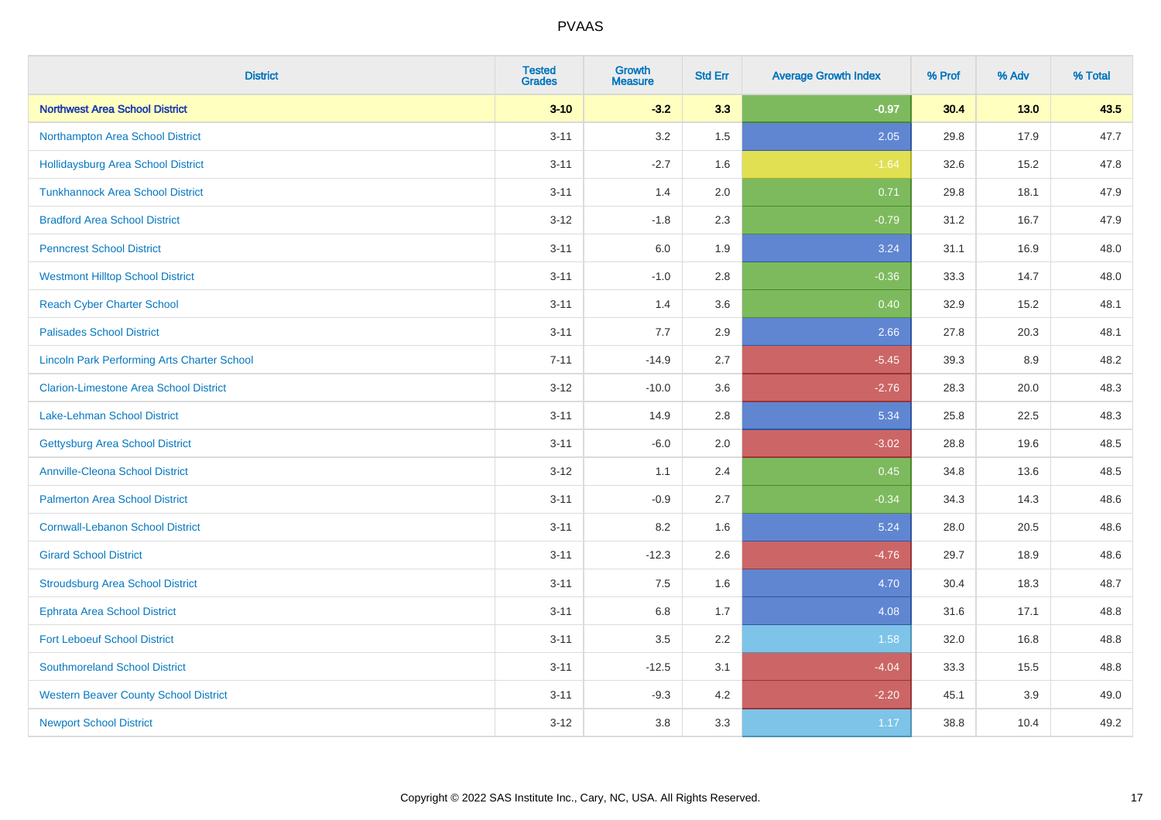| <b>District</b>                                    | <b>Tested</b><br><b>Grades</b> | <b>Growth</b><br><b>Measure</b> | <b>Std Err</b> | <b>Average Growth Index</b> | % Prof | % Adv  | % Total |
|----------------------------------------------------|--------------------------------|---------------------------------|----------------|-----------------------------|--------|--------|---------|
| <b>Northwest Area School District</b>              | $3 - 10$                       | $-3.2$                          | 3.3            | $-0.97$                     | 30.4   | $13.0$ | 43.5    |
| Northampton Area School District                   | $3 - 11$                       | 3.2                             | 1.5            | 2.05                        | 29.8   | 17.9   | 47.7    |
| <b>Hollidaysburg Area School District</b>          | $3 - 11$                       | $-2.7$                          | 1.6            | $-1.64$                     | 32.6   | 15.2   | 47.8    |
| <b>Tunkhannock Area School District</b>            | $3 - 11$                       | 1.4                             | 2.0            | 0.71                        | 29.8   | 18.1   | 47.9    |
| <b>Bradford Area School District</b>               | $3 - 12$                       | $-1.8$                          | 2.3            | $-0.79$                     | 31.2   | 16.7   | 47.9    |
| <b>Penncrest School District</b>                   | $3 - 11$                       | 6.0                             | 1.9            | 3.24                        | 31.1   | 16.9   | 48.0    |
| <b>Westmont Hilltop School District</b>            | $3 - 11$                       | $-1.0$                          | 2.8            | $-0.36$                     | 33.3   | 14.7   | 48.0    |
| <b>Reach Cyber Charter School</b>                  | $3 - 11$                       | 1.4                             | 3.6            | 0.40                        | 32.9   | 15.2   | 48.1    |
| <b>Palisades School District</b>                   | $3 - 11$                       | 7.7                             | 2.9            | 2.66                        | 27.8   | 20.3   | 48.1    |
| <b>Lincoln Park Performing Arts Charter School</b> | $7 - 11$                       | $-14.9$                         | 2.7            | $-5.45$                     | 39.3   | 8.9    | 48.2    |
| <b>Clarion-Limestone Area School District</b>      | $3 - 12$                       | $-10.0$                         | 3.6            | $-2.76$                     | 28.3   | 20.0   | 48.3    |
| <b>Lake-Lehman School District</b>                 | $3 - 11$                       | 14.9                            | 2.8            | 5.34                        | 25.8   | 22.5   | 48.3    |
| <b>Gettysburg Area School District</b>             | $3 - 11$                       | $-6.0$                          | 2.0            | $-3.02$                     | 28.8   | 19.6   | 48.5    |
| <b>Annville-Cleona School District</b>             | $3 - 12$                       | 1.1                             | 2.4            | 0.45                        | 34.8   | 13.6   | 48.5    |
| <b>Palmerton Area School District</b>              | $3 - 11$                       | $-0.9$                          | 2.7            | $-0.34$                     | 34.3   | 14.3   | 48.6    |
| <b>Cornwall-Lebanon School District</b>            | $3 - 11$                       | 8.2                             | 1.6            | 5.24                        | 28.0   | 20.5   | 48.6    |
| <b>Girard School District</b>                      | $3 - 11$                       | $-12.3$                         | 2.6            | $-4.76$                     | 29.7   | 18.9   | 48.6    |
| <b>Stroudsburg Area School District</b>            | $3 - 11$                       | 7.5                             | 1.6            | 4.70                        | 30.4   | 18.3   | 48.7    |
| <b>Ephrata Area School District</b>                | $3 - 11$                       | $6.8\,$                         | 1.7            | 4.08                        | 31.6   | 17.1   | 48.8    |
| <b>Fort Leboeuf School District</b>                | $3 - 11$                       | 3.5                             | 2.2            | 1.58                        | 32.0   | 16.8   | 48.8    |
| <b>Southmoreland School District</b>               | $3 - 11$                       | $-12.5$                         | 3.1            | $-4.04$                     | 33.3   | 15.5   | 48.8    |
| <b>Western Beaver County School District</b>       | $3 - 11$                       | $-9.3$                          | 4.2            | $-2.20$                     | 45.1   | 3.9    | 49.0    |
| <b>Newport School District</b>                     | $3 - 12$                       | 3.8                             | 3.3            | 1.17                        | 38.8   | 10.4   | 49.2    |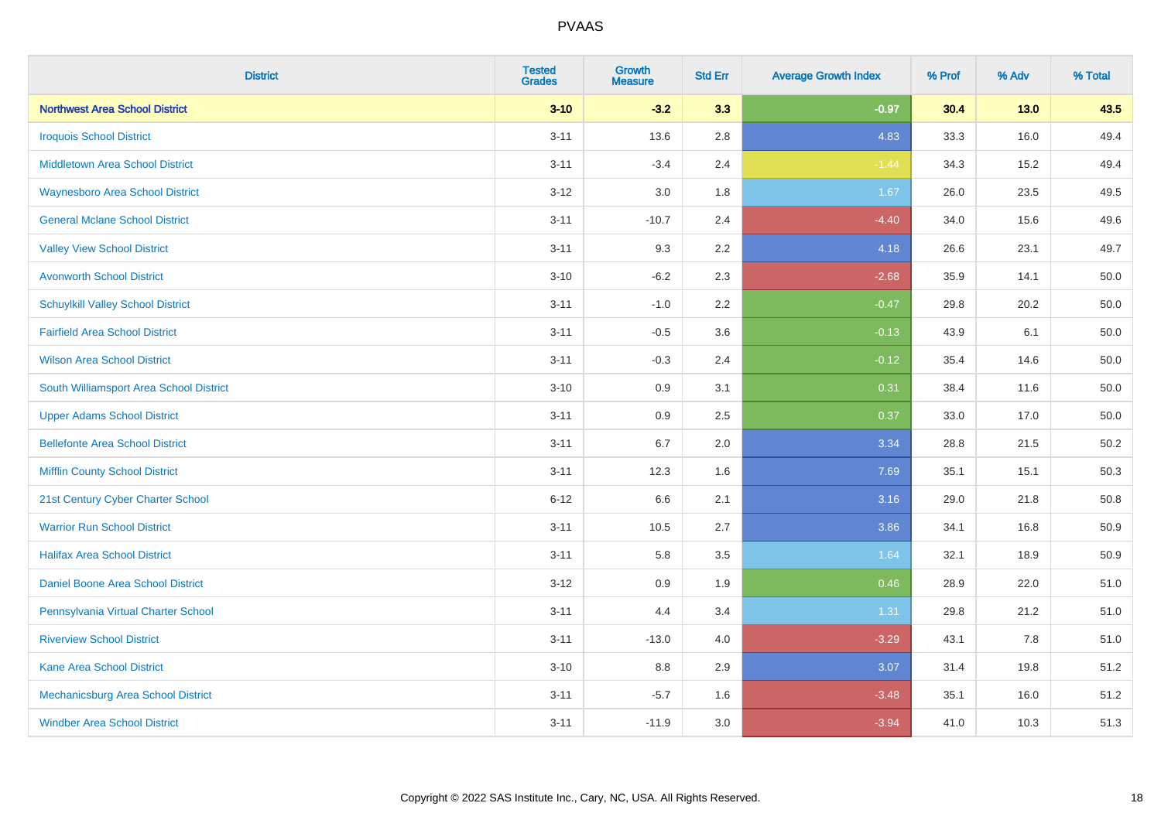| <b>District</b>                          | <b>Tested</b><br><b>Grades</b> | <b>Growth</b><br><b>Measure</b> | <b>Std Err</b> | <b>Average Growth Index</b> | % Prof | % Adv  | % Total |
|------------------------------------------|--------------------------------|---------------------------------|----------------|-----------------------------|--------|--------|---------|
| <b>Northwest Area School District</b>    | $3 - 10$                       | $-3.2$                          | 3.3            | $-0.97$                     | 30.4   | $13.0$ | 43.5    |
| <b>Iroquois School District</b>          | $3 - 11$                       | 13.6                            | 2.8            | 4.83                        | 33.3   | 16.0   | 49.4    |
| <b>Middletown Area School District</b>   | $3 - 11$                       | $-3.4$                          | 2.4            | $-1.44$                     | 34.3   | 15.2   | 49.4    |
| <b>Waynesboro Area School District</b>   | $3 - 12$                       | 3.0                             | 1.8            | 1.67                        | 26.0   | 23.5   | 49.5    |
| <b>General Mclane School District</b>    | $3 - 11$                       | $-10.7$                         | 2.4            | $-4.40$                     | 34.0   | 15.6   | 49.6    |
| <b>Valley View School District</b>       | $3 - 11$                       | 9.3                             | 2.2            | 4.18                        | 26.6   | 23.1   | 49.7    |
| <b>Avonworth School District</b>         | $3 - 10$                       | $-6.2$                          | 2.3            | $-2.68$                     | 35.9   | 14.1   | 50.0    |
| <b>Schuylkill Valley School District</b> | $3 - 11$                       | $-1.0$                          | 2.2            | $-0.47$                     | 29.8   | 20.2   | 50.0    |
| <b>Fairfield Area School District</b>    | $3 - 11$                       | $-0.5$                          | 3.6            | $-0.13$                     | 43.9   | 6.1    | 50.0    |
| <b>Wilson Area School District</b>       | $3 - 11$                       | $-0.3$                          | 2.4            | $-0.12$                     | 35.4   | 14.6   | 50.0    |
| South Williamsport Area School District  | $3 - 10$                       | 0.9                             | 3.1            | 0.31                        | 38.4   | 11.6   | 50.0    |
| <b>Upper Adams School District</b>       | $3 - 11$                       | 0.9                             | 2.5            | 0.37                        | 33.0   | 17.0   | 50.0    |
| <b>Bellefonte Area School District</b>   | $3 - 11$                       | 6.7                             | 2.0            | 3.34                        | 28.8   | 21.5   | 50.2    |
| <b>Mifflin County School District</b>    | $3 - 11$                       | 12.3                            | 1.6            | 7.69                        | 35.1   | 15.1   | 50.3    |
| 21st Century Cyber Charter School        | $6 - 12$                       | 6.6                             | 2.1            | 3.16                        | 29.0   | 21.8   | 50.8    |
| <b>Warrior Run School District</b>       | $3 - 11$                       | 10.5                            | 2.7            | 3.86                        | 34.1   | 16.8   | 50.9    |
| <b>Halifax Area School District</b>      | $3 - 11$                       | 5.8                             | 3.5            | 1.64                        | 32.1   | 18.9   | 50.9    |
| Daniel Boone Area School District        | $3 - 12$                       | 0.9                             | 1.9            | 0.46                        | 28.9   | 22.0   | 51.0    |
| Pennsylvania Virtual Charter School      | $3 - 11$                       | 4.4                             | 3.4            | 1.31                        | 29.8   | 21.2   | 51.0    |
| <b>Riverview School District</b>         | $3 - 11$                       | $-13.0$                         | 4.0            | $-3.29$                     | 43.1   | 7.8    | 51.0    |
| Kane Area School District                | $3 - 10$                       | 8.8                             | 2.9            | 3.07                        | 31.4   | 19.8   | 51.2    |
| Mechanicsburg Area School District       | $3 - 11$                       | $-5.7$                          | 1.6            | $-3.48$                     | 35.1   | 16.0   | 51.2    |
| <b>Windber Area School District</b>      | $3 - 11$                       | $-11.9$                         | 3.0            | $-3.94$                     | 41.0   | 10.3   | 51.3    |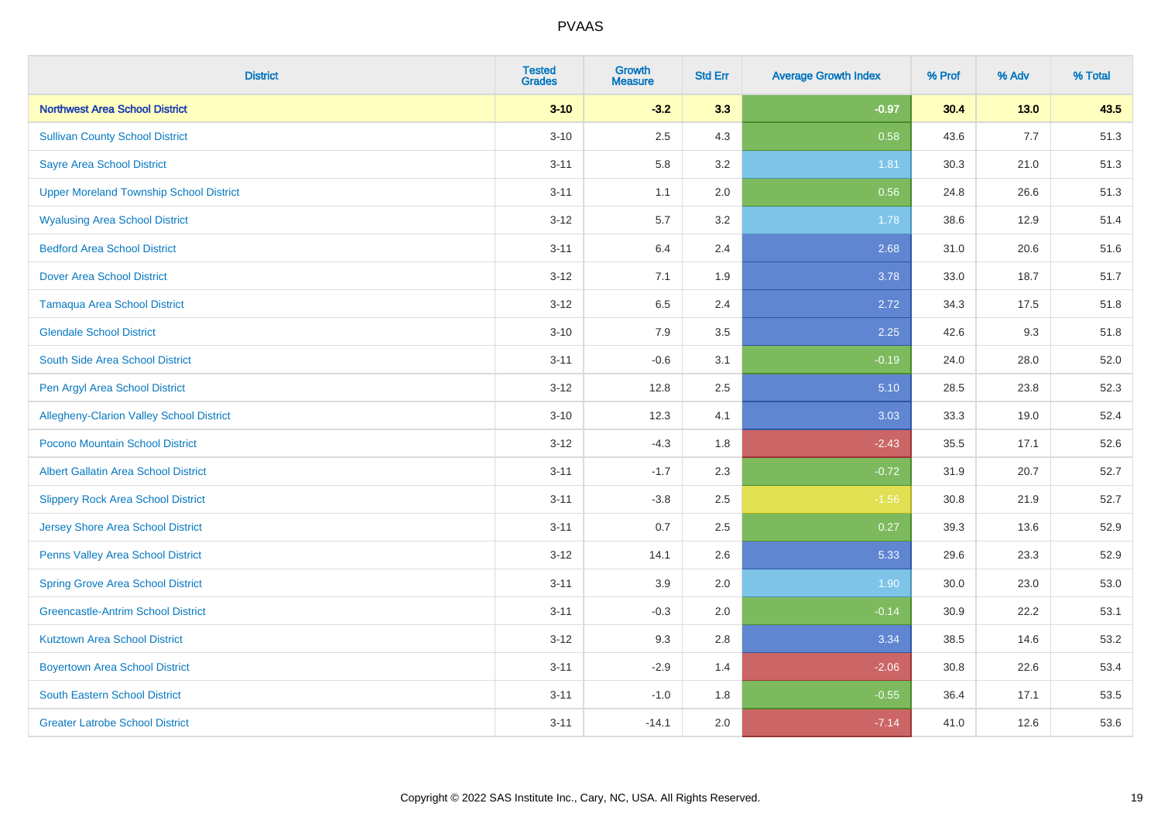| <b>District</b>                                 | <b>Tested</b><br><b>Grades</b> | <b>Growth</b><br><b>Measure</b> | <b>Std Err</b> | <b>Average Growth Index</b> | % Prof | % Adv  | % Total |
|-------------------------------------------------|--------------------------------|---------------------------------|----------------|-----------------------------|--------|--------|---------|
| <b>Northwest Area School District</b>           | $3 - 10$                       | $-3.2$                          | 3.3            | $-0.97$                     | 30.4   | $13.0$ | 43.5    |
| <b>Sullivan County School District</b>          | $3 - 10$                       | 2.5                             | 4.3            | 0.58                        | 43.6   | $7.7$  | 51.3    |
| <b>Sayre Area School District</b>               | $3 - 11$                       | 5.8                             | 3.2            | 1.81                        | 30.3   | 21.0   | 51.3    |
| <b>Upper Moreland Township School District</b>  | $3 - 11$                       | 1.1                             | 2.0            | 0.56                        | 24.8   | 26.6   | 51.3    |
| <b>Wyalusing Area School District</b>           | $3 - 12$                       | 5.7                             | 3.2            | 1.78                        | 38.6   | 12.9   | 51.4    |
| <b>Bedford Area School District</b>             | $3 - 11$                       | 6.4                             | 2.4            | 2.68                        | 31.0   | 20.6   | 51.6    |
| <b>Dover Area School District</b>               | $3 - 12$                       | 7.1                             | 1.9            | 3.78                        | 33.0   | 18.7   | 51.7    |
| <b>Tamaqua Area School District</b>             | $3 - 12$                       | 6.5                             | 2.4            | 2.72                        | 34.3   | 17.5   | 51.8    |
| <b>Glendale School District</b>                 | $3 - 10$                       | 7.9                             | 3.5            | 2.25                        | 42.6   | 9.3    | 51.8    |
| South Side Area School District                 | $3 - 11$                       | $-0.6$                          | 3.1            | $-0.19$                     | 24.0   | 28.0   | 52.0    |
| Pen Argyl Area School District                  | $3 - 12$                       | 12.8                            | 2.5            | 5.10                        | 28.5   | 23.8   | 52.3    |
| <b>Allegheny-Clarion Valley School District</b> | $3 - 10$                       | 12.3                            | 4.1            | 3.03                        | 33.3   | 19.0   | 52.4    |
| Pocono Mountain School District                 | $3 - 12$                       | $-4.3$                          | 1.8            | $-2.43$                     | 35.5   | 17.1   | 52.6    |
| <b>Albert Gallatin Area School District</b>     | $3 - 11$                       | $-1.7$                          | 2.3            | $-0.72$                     | 31.9   | 20.7   | 52.7    |
| <b>Slippery Rock Area School District</b>       | $3 - 11$                       | $-3.8$                          | 2.5            | $-1.56$                     | 30.8   | 21.9   | 52.7    |
| <b>Jersey Shore Area School District</b>        | $3 - 11$                       | 0.7                             | 2.5            | 0.27                        | 39.3   | 13.6   | 52.9    |
| Penns Valley Area School District               | $3 - 12$                       | 14.1                            | 2.6            | 5.33                        | 29.6   | 23.3   | 52.9    |
| <b>Spring Grove Area School District</b>        | $3 - 11$                       | 3.9                             | 2.0            | 1.90                        | 30.0   | 23.0   | 53.0    |
| <b>Greencastle-Antrim School District</b>       | $3 - 11$                       | $-0.3$                          | 2.0            | $-0.14$                     | 30.9   | 22.2   | 53.1    |
| <b>Kutztown Area School District</b>            | $3 - 12$                       | 9.3                             | 2.8            | 3.34                        | 38.5   | 14.6   | 53.2    |
| <b>Boyertown Area School District</b>           | $3 - 11$                       | $-2.9$                          | 1.4            | $-2.06$                     | 30.8   | 22.6   | 53.4    |
| <b>South Eastern School District</b>            | $3 - 11$                       | $-1.0$                          | 1.8            | $-0.55$                     | 36.4   | 17.1   | 53.5    |
| <b>Greater Latrobe School District</b>          | $3 - 11$                       | $-14.1$                         | 2.0            | $-7.14$                     | 41.0   | 12.6   | 53.6    |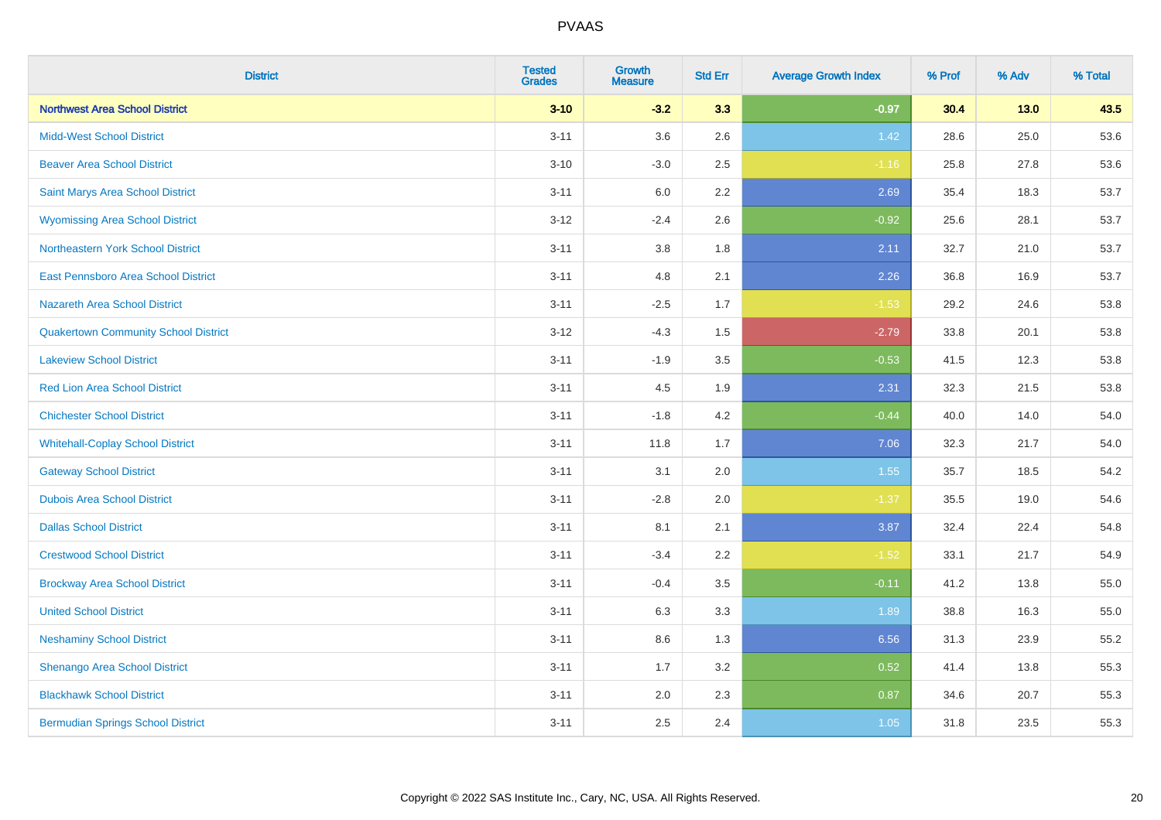| <b>District</b>                             | <b>Tested</b><br><b>Grades</b> | <b>Growth</b><br><b>Measure</b> | <b>Std Err</b> | <b>Average Growth Index</b> | % Prof | % Adv  | % Total |
|---------------------------------------------|--------------------------------|---------------------------------|----------------|-----------------------------|--------|--------|---------|
| <b>Northwest Area School District</b>       | $3 - 10$                       | $-3.2$                          | 3.3            | $-0.97$                     | 30.4   | $13.0$ | 43.5    |
| <b>Midd-West School District</b>            | $3 - 11$                       | 3.6                             | 2.6            | 1.42                        | 28.6   | 25.0   | 53.6    |
| <b>Beaver Area School District</b>          | $3 - 10$                       | $-3.0$                          | 2.5            | $-1.16$                     | 25.8   | 27.8   | 53.6    |
| Saint Marys Area School District            | $3 - 11$                       | 6.0                             | 2.2            | 2.69                        | 35.4   | 18.3   | 53.7    |
| <b>Wyomissing Area School District</b>      | $3 - 12$                       | $-2.4$                          | 2.6            | $-0.92$                     | 25.6   | 28.1   | 53.7    |
| Northeastern York School District           | $3 - 11$                       | 3.8                             | 1.8            | 2.11                        | 32.7   | 21.0   | 53.7    |
| East Pennsboro Area School District         | $3 - 11$                       | 4.8                             | 2.1            | 2.26                        | 36.8   | 16.9   | 53.7    |
| <b>Nazareth Area School District</b>        | $3 - 11$                       | $-2.5$                          | 1.7            | $-1.53$                     | 29.2   | 24.6   | 53.8    |
| <b>Quakertown Community School District</b> | $3 - 12$                       | $-4.3$                          | 1.5            | $-2.79$                     | 33.8   | 20.1   | 53.8    |
| <b>Lakeview School District</b>             | $3 - 11$                       | $-1.9$                          | 3.5            | $-0.53$                     | 41.5   | 12.3   | 53.8    |
| <b>Red Lion Area School District</b>        | $3 - 11$                       | 4.5                             | 1.9            | 2.31                        | 32.3   | 21.5   | 53.8    |
| <b>Chichester School District</b>           | $3 - 11$                       | $-1.8$                          | 4.2            | $-0.44$                     | 40.0   | 14.0   | 54.0    |
| <b>Whitehall-Coplay School District</b>     | $3 - 11$                       | 11.8                            | 1.7            | 7.06                        | 32.3   | 21.7   | 54.0    |
| <b>Gateway School District</b>              | $3 - 11$                       | 3.1                             | 2.0            | 1.55                        | 35.7   | 18.5   | 54.2    |
| <b>Dubois Area School District</b>          | $3 - 11$                       | $-2.8$                          | 2.0            | $-1.37$                     | 35.5   | 19.0   | 54.6    |
| <b>Dallas School District</b>               | $3 - 11$                       | 8.1                             | 2.1            | 3.87                        | 32.4   | 22.4   | 54.8    |
| <b>Crestwood School District</b>            | $3 - 11$                       | $-3.4$                          | 2.2            | $-1.52$                     | 33.1   | 21.7   | 54.9    |
| <b>Brockway Area School District</b>        | $3 - 11$                       | $-0.4$                          | 3.5            | $-0.11$                     | 41.2   | 13.8   | 55.0    |
| <b>United School District</b>               | $3 - 11$                       | 6.3                             | 3.3            | 1.89                        | 38.8   | 16.3   | 55.0    |
| <b>Neshaminy School District</b>            | $3 - 11$                       | 8.6                             | 1.3            | 6.56                        | 31.3   | 23.9   | 55.2    |
| Shenango Area School District               | $3 - 11$                       | 1.7                             | 3.2            | 0.52                        | 41.4   | 13.8   | 55.3    |
| <b>Blackhawk School District</b>            | $3 - 11$                       | 2.0                             | 2.3            | 0.87                        | 34.6   | 20.7   | 55.3    |
| <b>Bermudian Springs School District</b>    | $3 - 11$                       | 2.5                             | 2.4            | 1.05                        | 31.8   | 23.5   | 55.3    |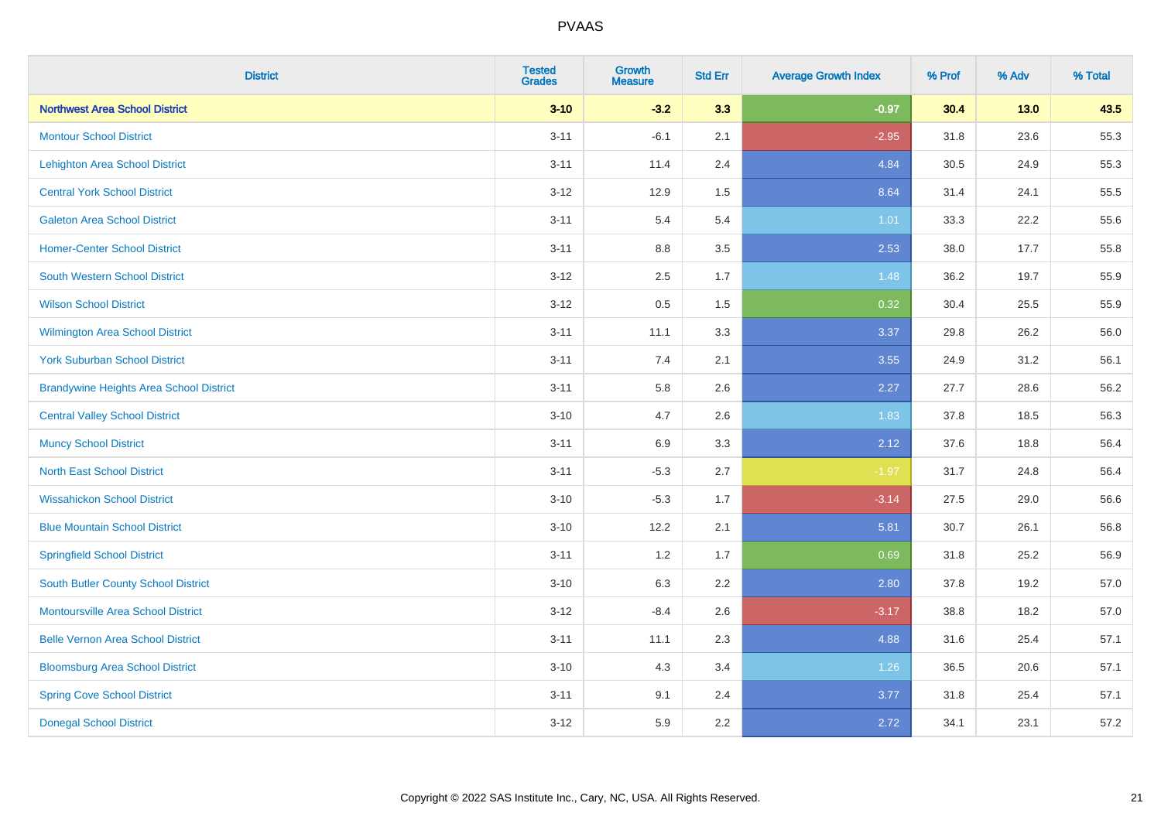| <b>District</b>                                | <b>Tested</b><br><b>Grades</b> | <b>Growth</b><br><b>Measure</b> | <b>Std Err</b> | <b>Average Growth Index</b> | % Prof | % Adv  | % Total |
|------------------------------------------------|--------------------------------|---------------------------------|----------------|-----------------------------|--------|--------|---------|
| <b>Northwest Area School District</b>          | $3 - 10$                       | $-3.2$                          | 3.3            | $-0.97$                     | 30.4   | $13.0$ | 43.5    |
| <b>Montour School District</b>                 | $3 - 11$                       | $-6.1$                          | 2.1            | $-2.95$                     | 31.8   | 23.6   | 55.3    |
| <b>Lehighton Area School District</b>          | $3 - 11$                       | 11.4                            | 2.4            | 4.84                        | 30.5   | 24.9   | 55.3    |
| <b>Central York School District</b>            | $3 - 12$                       | 12.9                            | 1.5            | 8.64                        | 31.4   | 24.1   | 55.5    |
| <b>Galeton Area School District</b>            | $3 - 11$                       | 5.4                             | 5.4            | 1.01                        | 33.3   | 22.2   | 55.6    |
| <b>Homer-Center School District</b>            | $3 - 11$                       | 8.8                             | 3.5            | 2.53                        | 38.0   | 17.7   | 55.8    |
| <b>South Western School District</b>           | $3 - 12$                       | 2.5                             | 1.7            | 1.48                        | 36.2   | 19.7   | 55.9    |
| <b>Wilson School District</b>                  | $3 - 12$                       | $0.5\,$                         | 1.5            | 0.32                        | 30.4   | 25.5   | 55.9    |
| <b>Wilmington Area School District</b>         | $3 - 11$                       | 11.1                            | 3.3            | 3.37                        | 29.8   | 26.2   | 56.0    |
| <b>York Suburban School District</b>           | $3 - 11$                       | 7.4                             | 2.1            | 3.55                        | 24.9   | 31.2   | 56.1    |
| <b>Brandywine Heights Area School District</b> | $3 - 11$                       | 5.8                             | 2.6            | 2.27                        | 27.7   | 28.6   | 56.2    |
| <b>Central Valley School District</b>          | $3 - 10$                       | 4.7                             | 2.6            | 1.83                        | 37.8   | 18.5   | 56.3    |
| <b>Muncy School District</b>                   | $3 - 11$                       | 6.9                             | 3.3            | 2.12                        | 37.6   | 18.8   | 56.4    |
| <b>North East School District</b>              | $3 - 11$                       | $-5.3$                          | 2.7            | $-1.97$                     | 31.7   | 24.8   | 56.4    |
| <b>Wissahickon School District</b>             | $3 - 10$                       | $-5.3$                          | 1.7            | $-3.14$                     | 27.5   | 29.0   | 56.6    |
| <b>Blue Mountain School District</b>           | $3 - 10$                       | 12.2                            | 2.1            | 5.81                        | 30.7   | 26.1   | 56.8    |
| <b>Springfield School District</b>             | $3 - 11$                       | 1.2                             | 1.7            | 0.69                        | 31.8   | 25.2   | 56.9    |
| <b>South Butler County School District</b>     | $3 - 10$                       | 6.3                             | 2.2            | 2.80                        | 37.8   | 19.2   | 57.0    |
| <b>Montoursville Area School District</b>      | $3 - 12$                       | $-8.4$                          | 2.6            | $-3.17$                     | 38.8   | 18.2   | 57.0    |
| <b>Belle Vernon Area School District</b>       | $3 - 11$                       | 11.1                            | 2.3            | 4.88                        | 31.6   | 25.4   | 57.1    |
| <b>Bloomsburg Area School District</b>         | $3 - 10$                       | 4.3                             | 3.4            | 1.26                        | 36.5   | 20.6   | 57.1    |
| <b>Spring Cove School District</b>             | $3 - 11$                       | 9.1                             | 2.4            | 3.77                        | 31.8   | 25.4   | 57.1    |
| <b>Donegal School District</b>                 | $3 - 12$                       | 5.9                             | 2.2            | 2.72                        | 34.1   | 23.1   | 57.2    |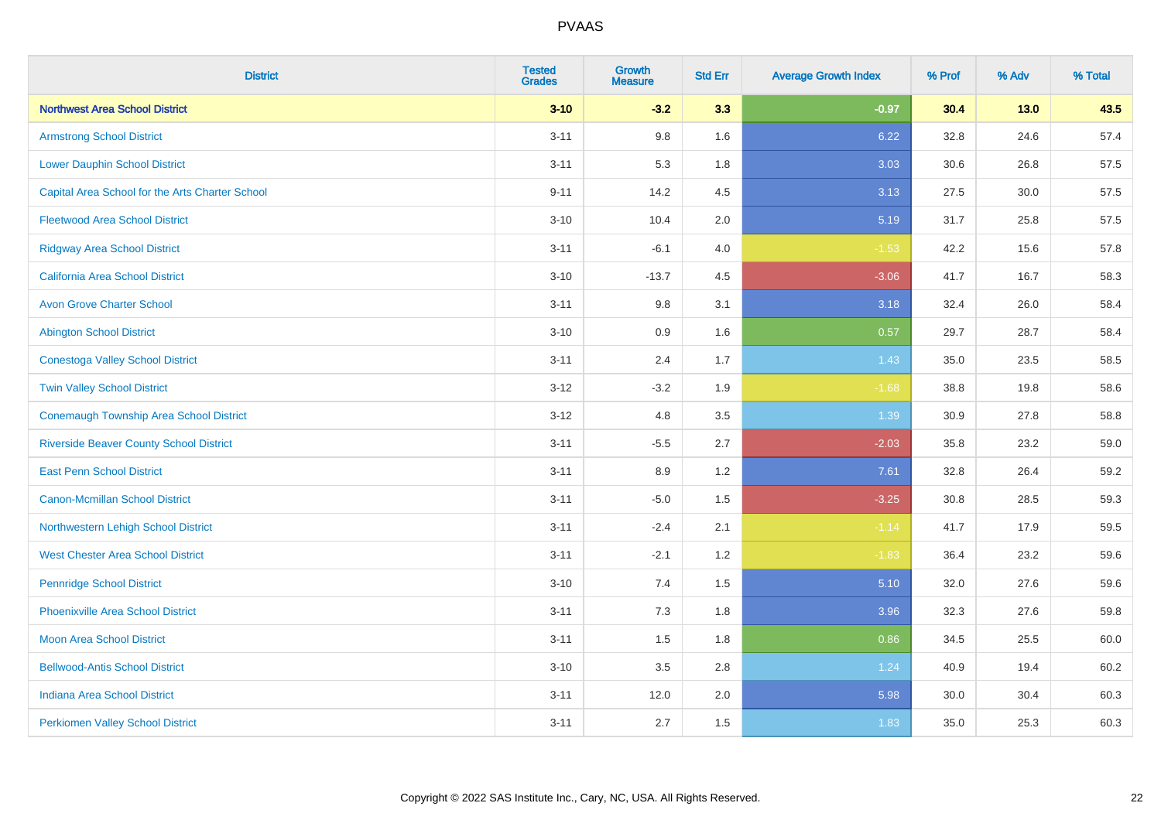| <b>District</b>                                 | <b>Tested</b><br><b>Grades</b> | <b>Growth</b><br><b>Measure</b> | <b>Std Err</b> | <b>Average Growth Index</b> | % Prof | % Adv | % Total |
|-------------------------------------------------|--------------------------------|---------------------------------|----------------|-----------------------------|--------|-------|---------|
| <b>Northwest Area School District</b>           | $3 - 10$                       | $-3.2$                          | 3.3            | $-0.97$                     | 30.4   | 13.0  | 43.5    |
| <b>Armstrong School District</b>                | $3 - 11$                       | 9.8                             | 1.6            | 6.22                        | 32.8   | 24.6  | 57.4    |
| <b>Lower Dauphin School District</b>            | $3 - 11$                       | 5.3                             | 1.8            | 3.03                        | 30.6   | 26.8  | 57.5    |
| Capital Area School for the Arts Charter School | $9 - 11$                       | 14.2                            | 4.5            | 3.13                        | 27.5   | 30.0  | 57.5    |
| <b>Fleetwood Area School District</b>           | $3 - 10$                       | 10.4                            | 2.0            | 5.19                        | 31.7   | 25.8  | 57.5    |
| <b>Ridgway Area School District</b>             | $3 - 11$                       | $-6.1$                          | 4.0            | $-1.53$                     | 42.2   | 15.6  | 57.8    |
| <b>California Area School District</b>          | $3 - 10$                       | $-13.7$                         | 4.5            | $-3.06$                     | 41.7   | 16.7  | 58.3    |
| <b>Avon Grove Charter School</b>                | $3 - 11$                       | 9.8                             | 3.1            | 3.18                        | 32.4   | 26.0  | 58.4    |
| <b>Abington School District</b>                 | $3 - 10$                       | 0.9                             | 1.6            | 0.57                        | 29.7   | 28.7  | 58.4    |
| <b>Conestoga Valley School District</b>         | $3 - 11$                       | 2.4                             | 1.7            | 1.43                        | 35.0   | 23.5  | 58.5    |
| <b>Twin Valley School District</b>              | $3 - 12$                       | $-3.2$                          | 1.9            | $-1.68$                     | 38.8   | 19.8  | 58.6    |
| <b>Conemaugh Township Area School District</b>  | $3 - 12$                       | 4.8                             | 3.5            | 1.39                        | 30.9   | 27.8  | 58.8    |
| <b>Riverside Beaver County School District</b>  | $3 - 11$                       | $-5.5$                          | 2.7            | $-2.03$                     | 35.8   | 23.2  | 59.0    |
| <b>East Penn School District</b>                | $3 - 11$                       | 8.9                             | 1.2            | 7.61                        | 32.8   | 26.4  | 59.2    |
| <b>Canon-Mcmillan School District</b>           | $3 - 11$                       | $-5.0$                          | 1.5            | $-3.25$                     | 30.8   | 28.5  | 59.3    |
| Northwestern Lehigh School District             | $3 - 11$                       | $-2.4$                          | 2.1            | $-1.14$                     | 41.7   | 17.9  | 59.5    |
| <b>West Chester Area School District</b>        | $3 - 11$                       | $-2.1$                          | 1.2            | $-1.83$                     | 36.4   | 23.2  | 59.6    |
| <b>Pennridge School District</b>                | $3 - 10$                       | 7.4                             | 1.5            | 5.10                        | 32.0   | 27.6  | 59.6    |
| <b>Phoenixville Area School District</b>        | $3 - 11$                       | 7.3                             | 1.8            | 3.96                        | 32.3   | 27.6  | 59.8    |
| <b>Moon Area School District</b>                | $3 - 11$                       | 1.5                             | 1.8            | 0.86                        | 34.5   | 25.5  | 60.0    |
| <b>Bellwood-Antis School District</b>           | $3 - 10$                       | 3.5                             | 2.8            | 1.24                        | 40.9   | 19.4  | 60.2    |
| <b>Indiana Area School District</b>             | $3 - 11$                       | 12.0                            | 2.0            | 5.98                        | 30.0   | 30.4  | 60.3    |
| <b>Perkiomen Valley School District</b>         | $3 - 11$                       | 2.7                             | 1.5            | 1.83                        | 35.0   | 25.3  | 60.3    |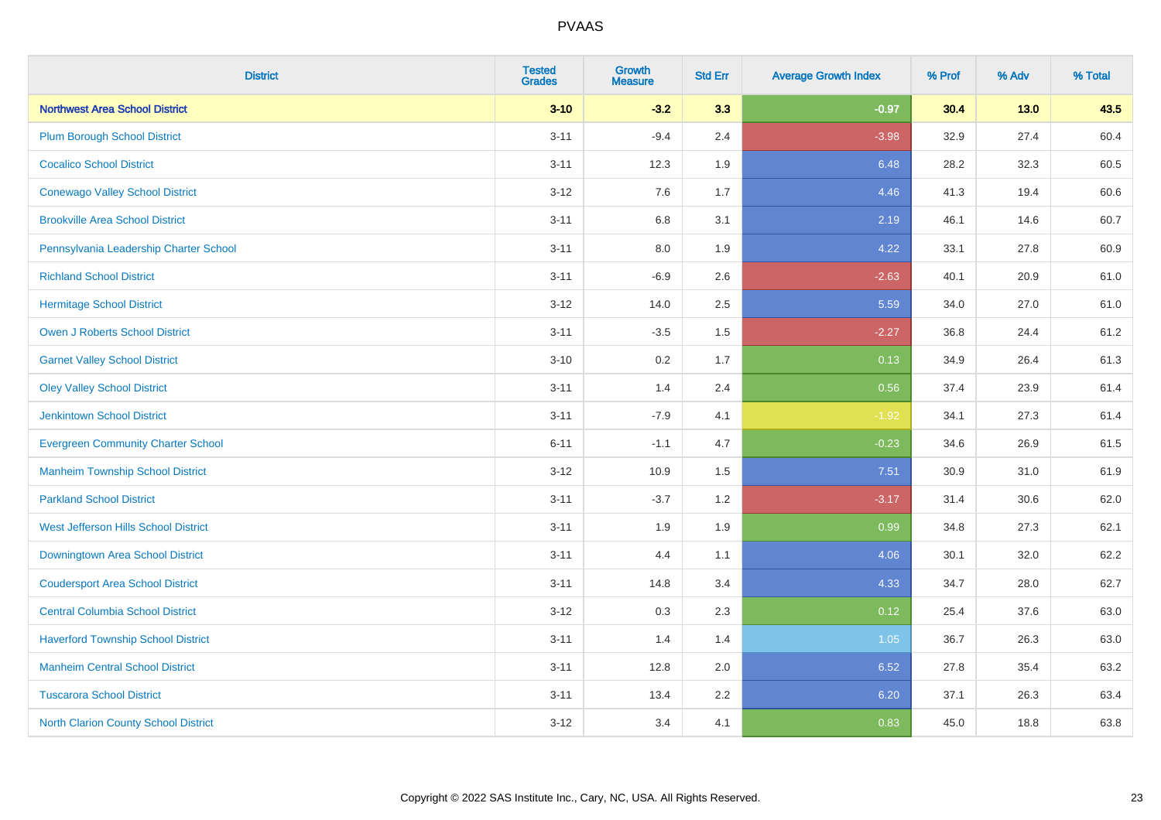| <b>District</b>                             | <b>Tested</b><br><b>Grades</b> | <b>Growth</b><br><b>Measure</b> | <b>Std Err</b> | <b>Average Growth Index</b> | % Prof | % Adv  | % Total |
|---------------------------------------------|--------------------------------|---------------------------------|----------------|-----------------------------|--------|--------|---------|
| <b>Northwest Area School District</b>       | $3 - 10$                       | $-3.2$                          | 3.3            | $-0.97$                     | 30.4   | $13.0$ | 43.5    |
| <b>Plum Borough School District</b>         | $3 - 11$                       | $-9.4$                          | 2.4            | $-3.98$                     | 32.9   | 27.4   | 60.4    |
| <b>Cocalico School District</b>             | $3 - 11$                       | 12.3                            | 1.9            | 6.48                        | 28.2   | 32.3   | 60.5    |
| <b>Conewago Valley School District</b>      | $3-12$                         | 7.6                             | 1.7            | 4.46                        | 41.3   | 19.4   | 60.6    |
| <b>Brookville Area School District</b>      | $3 - 11$                       | 6.8                             | 3.1            | 2.19                        | 46.1   | 14.6   | 60.7    |
| Pennsylvania Leadership Charter School      | $3 - 11$                       | 8.0                             | 1.9            | 4.22                        | 33.1   | 27.8   | 60.9    |
| <b>Richland School District</b>             | $3 - 11$                       | $-6.9$                          | 2.6            | $-2.63$                     | 40.1   | 20.9   | 61.0    |
| <b>Hermitage School District</b>            | $3-12$                         | 14.0                            | 2.5            | 5.59                        | 34.0   | 27.0   | 61.0    |
| <b>Owen J Roberts School District</b>       | $3 - 11$                       | $-3.5$                          | 1.5            | $-2.27$                     | 36.8   | 24.4   | 61.2    |
| <b>Garnet Valley School District</b>        | $3 - 10$                       | 0.2                             | 1.7            | 0.13                        | 34.9   | 26.4   | 61.3    |
| <b>Oley Valley School District</b>          | $3 - 11$                       | 1.4                             | 2.4            | 0.56                        | 37.4   | 23.9   | 61.4    |
| <b>Jenkintown School District</b>           | $3 - 11$                       | $-7.9$                          | 4.1            | $-1.92$                     | 34.1   | 27.3   | 61.4    |
| <b>Evergreen Community Charter School</b>   | $6 - 11$                       | $-1.1$                          | 4.7            | $-0.23$                     | 34.6   | 26.9   | 61.5    |
| <b>Manheim Township School District</b>     | $3 - 12$                       | 10.9                            | 1.5            | 7.51                        | 30.9   | 31.0   | 61.9    |
| <b>Parkland School District</b>             | $3 - 11$                       | $-3.7$                          | 1.2            | $-3.17$                     | 31.4   | 30.6   | 62.0    |
| West Jefferson Hills School District        | $3 - 11$                       | 1.9                             | 1.9            | 0.99                        | 34.8   | 27.3   | 62.1    |
| <b>Downingtown Area School District</b>     | $3 - 11$                       | 4.4                             | 1.1            | 4.06                        | 30.1   | 32.0   | 62.2    |
| <b>Coudersport Area School District</b>     | $3 - 11$                       | 14.8                            | 3.4            | 4.33                        | 34.7   | 28.0   | 62.7    |
| <b>Central Columbia School District</b>     | $3-12$                         | 0.3                             | 2.3            | 0.12                        | 25.4   | 37.6   | 63.0    |
| <b>Haverford Township School District</b>   | $3 - 11$                       | 1.4                             | 1.4            | 1.05                        | 36.7   | 26.3   | 63.0    |
| <b>Manheim Central School District</b>      | $3 - 11$                       | 12.8                            | 2.0            | 6.52                        | 27.8   | 35.4   | 63.2    |
| <b>Tuscarora School District</b>            | $3 - 11$                       | 13.4                            | 2.2            | 6.20                        | 37.1   | 26.3   | 63.4    |
| <b>North Clarion County School District</b> | $3 - 12$                       | 3.4                             | 4.1            | 0.83                        | 45.0   | 18.8   | 63.8    |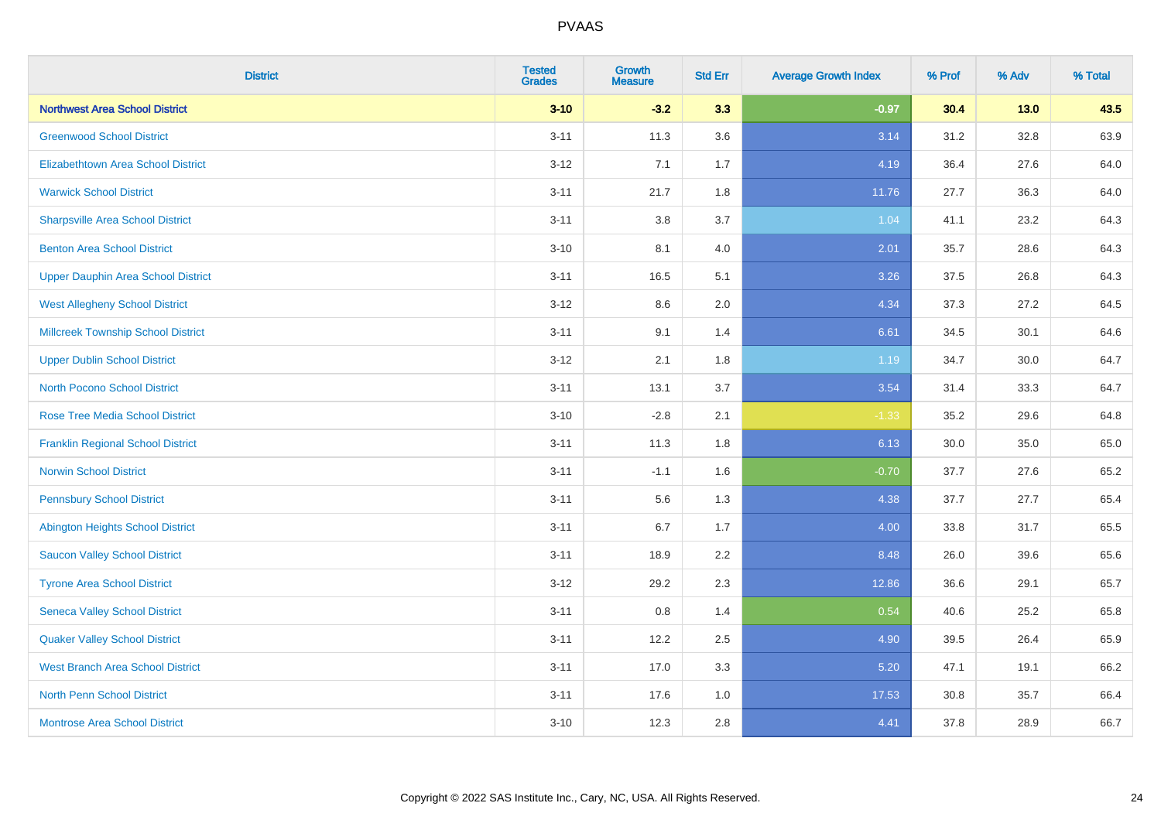| <b>District</b>                           | <b>Tested</b><br><b>Grades</b> | <b>Growth</b><br><b>Measure</b> | <b>Std Err</b> | <b>Average Growth Index</b> | % Prof | % Adv | % Total |
|-------------------------------------------|--------------------------------|---------------------------------|----------------|-----------------------------|--------|-------|---------|
| <b>Northwest Area School District</b>     | $3 - 10$                       | $-3.2$                          | 3.3            | $-0.97$                     | 30.4   | 13.0  | 43.5    |
| <b>Greenwood School District</b>          | $3 - 11$                       | 11.3                            | 3.6            | 3.14                        | 31.2   | 32.8  | 63.9    |
| <b>Elizabethtown Area School District</b> | $3 - 12$                       | 7.1                             | 1.7            | 4.19                        | 36.4   | 27.6  | 64.0    |
| <b>Warwick School District</b>            | $3 - 11$                       | 21.7                            | 1.8            | 11.76                       | 27.7   | 36.3  | 64.0    |
| <b>Sharpsville Area School District</b>   | $3 - 11$                       | 3.8                             | 3.7            | 1.04                        | 41.1   | 23.2  | 64.3    |
| <b>Benton Area School District</b>        | $3 - 10$                       | 8.1                             | 4.0            | 2.01                        | 35.7   | 28.6  | 64.3    |
| <b>Upper Dauphin Area School District</b> | $3 - 11$                       | 16.5                            | 5.1            | 3.26                        | 37.5   | 26.8  | 64.3    |
| <b>West Allegheny School District</b>     | $3 - 12$                       | $8.6\,$                         | 2.0            | 4.34                        | 37.3   | 27.2  | 64.5    |
| <b>Millcreek Township School District</b> | $3 - 11$                       | 9.1                             | 1.4            | 6.61                        | 34.5   | 30.1  | 64.6    |
| <b>Upper Dublin School District</b>       | $3 - 12$                       | 2.1                             | 1.8            | 1.19                        | 34.7   | 30.0  | 64.7    |
| <b>North Pocono School District</b>       | $3 - 11$                       | 13.1                            | 3.7            | 3.54                        | 31.4   | 33.3  | 64.7    |
| <b>Rose Tree Media School District</b>    | $3 - 10$                       | $-2.8$                          | 2.1            | $-1.33$                     | 35.2   | 29.6  | 64.8    |
| <b>Franklin Regional School District</b>  | $3 - 11$                       | 11.3                            | 1.8            | 6.13                        | 30.0   | 35.0  | 65.0    |
| <b>Norwin School District</b>             | $3 - 11$                       | $-1.1$                          | 1.6            | $-0.70$                     | 37.7   | 27.6  | 65.2    |
| <b>Pennsbury School District</b>          | $3 - 11$                       | 5.6                             | 1.3            | 4.38                        | 37.7   | 27.7  | 65.4    |
| <b>Abington Heights School District</b>   | $3 - 11$                       | 6.7                             | 1.7            | 4.00                        | 33.8   | 31.7  | 65.5    |
| <b>Saucon Valley School District</b>      | $3 - 11$                       | 18.9                            | 2.2            | 8.48                        | 26.0   | 39.6  | 65.6    |
| <b>Tyrone Area School District</b>        | $3 - 12$                       | 29.2                            | 2.3            | 12.86                       | 36.6   | 29.1  | 65.7    |
| <b>Seneca Valley School District</b>      | $3 - 11$                       | $0.8\,$                         | 1.4            | 0.54                        | 40.6   | 25.2  | 65.8    |
| <b>Quaker Valley School District</b>      | $3 - 11$                       | 12.2                            | 2.5            | 4.90                        | 39.5   | 26.4  | 65.9    |
| <b>West Branch Area School District</b>   | $3 - 11$                       | 17.0                            | 3.3            | 5.20                        | 47.1   | 19.1  | 66.2    |
| <b>North Penn School District</b>         | $3 - 11$                       | 17.6                            | 1.0            | 17.53                       | 30.8   | 35.7  | 66.4    |
| <b>Montrose Area School District</b>      | $3 - 10$                       | 12.3                            | 2.8            | 4.41                        | 37.8   | 28.9  | 66.7    |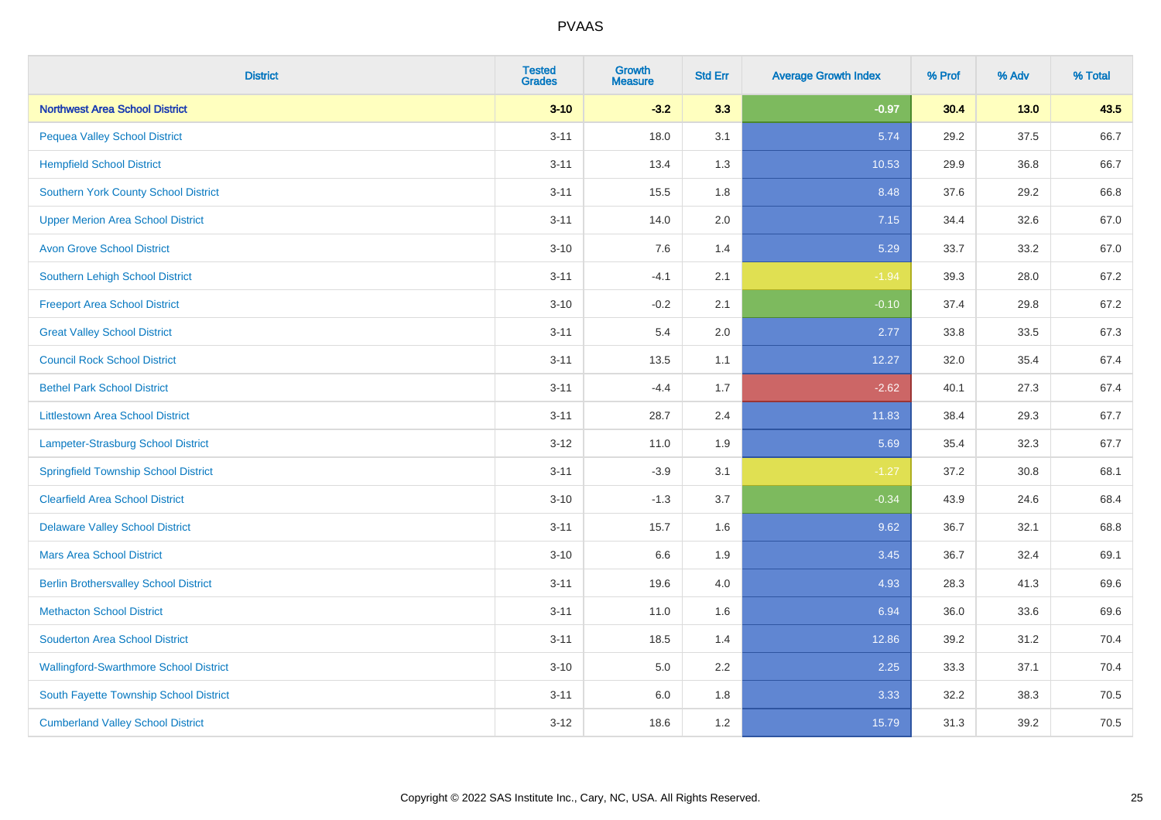| <b>District</b>                               | <b>Tested</b><br><b>Grades</b> | <b>Growth</b><br><b>Measure</b> | <b>Std Err</b> | <b>Average Growth Index</b> | % Prof | % Adv  | % Total |
|-----------------------------------------------|--------------------------------|---------------------------------|----------------|-----------------------------|--------|--------|---------|
| <b>Northwest Area School District</b>         | $3 - 10$                       | $-3.2$                          | 3.3            | $-0.97$                     | 30.4   | $13.0$ | 43.5    |
| <b>Pequea Valley School District</b>          | $3 - 11$                       | 18.0                            | 3.1            | 5.74                        | 29.2   | 37.5   | 66.7    |
| <b>Hempfield School District</b>              | $3 - 11$                       | 13.4                            | 1.3            | 10.53                       | 29.9   | 36.8   | 66.7    |
| Southern York County School District          | $3 - 11$                       | 15.5                            | 1.8            | 8.48                        | 37.6   | 29.2   | 66.8    |
| <b>Upper Merion Area School District</b>      | $3 - 11$                       | 14.0                            | 2.0            | 7.15                        | 34.4   | 32.6   | 67.0    |
| <b>Avon Grove School District</b>             | $3 - 10$                       | 7.6                             | 1.4            | 5.29                        | 33.7   | 33.2   | 67.0    |
| Southern Lehigh School District               | $3 - 11$                       | $-4.1$                          | 2.1            | $-1.94$                     | 39.3   | 28.0   | 67.2    |
| <b>Freeport Area School District</b>          | $3 - 10$                       | $-0.2$                          | 2.1            | $-0.10$                     | 37.4   | 29.8   | 67.2    |
| <b>Great Valley School District</b>           | $3 - 11$                       | 5.4                             | 2.0            | 2.77                        | 33.8   | 33.5   | 67.3    |
| <b>Council Rock School District</b>           | $3 - 11$                       | 13.5                            | 1.1            | 12.27                       | 32.0   | 35.4   | 67.4    |
| <b>Bethel Park School District</b>            | $3 - 11$                       | $-4.4$                          | 1.7            | $-2.62$                     | 40.1   | 27.3   | 67.4    |
| <b>Littlestown Area School District</b>       | $3 - 11$                       | 28.7                            | 2.4            | 11.83                       | 38.4   | 29.3   | 67.7    |
| Lampeter-Strasburg School District            | $3 - 12$                       | 11.0                            | 1.9            | 5.69                        | 35.4   | 32.3   | 67.7    |
| <b>Springfield Township School District</b>   | $3 - 11$                       | $-3.9$                          | 3.1            | $-1.27$                     | 37.2   | 30.8   | 68.1    |
| <b>Clearfield Area School District</b>        | $3 - 10$                       | $-1.3$                          | 3.7            | $-0.34$                     | 43.9   | 24.6   | 68.4    |
| <b>Delaware Valley School District</b>        | $3 - 11$                       | 15.7                            | 1.6            | 9.62                        | 36.7   | 32.1   | 68.8    |
| <b>Mars Area School District</b>              | $3 - 10$                       | 6.6                             | 1.9            | 3.45                        | 36.7   | 32.4   | 69.1    |
| <b>Berlin Brothersvalley School District</b>  | $3 - 11$                       | 19.6                            | 4.0            | 4.93                        | 28.3   | 41.3   | 69.6    |
| <b>Methacton School District</b>              | $3 - 11$                       | 11.0                            | 1.6            | 6.94                        | 36.0   | 33.6   | 69.6    |
| <b>Souderton Area School District</b>         | $3 - 11$                       | 18.5                            | 1.4            | 12.86                       | 39.2   | 31.2   | 70.4    |
| <b>Wallingford-Swarthmore School District</b> | $3 - 10$                       | 5.0                             | 2.2            | 2.25                        | 33.3   | 37.1   | 70.4    |
| South Fayette Township School District        | $3 - 11$                       | 6.0                             | 1.8            | 3.33                        | 32.2   | 38.3   | 70.5    |
| <b>Cumberland Valley School District</b>      | $3-12$                         | 18.6                            | 1.2            | 15.79                       | 31.3   | 39.2   | 70.5    |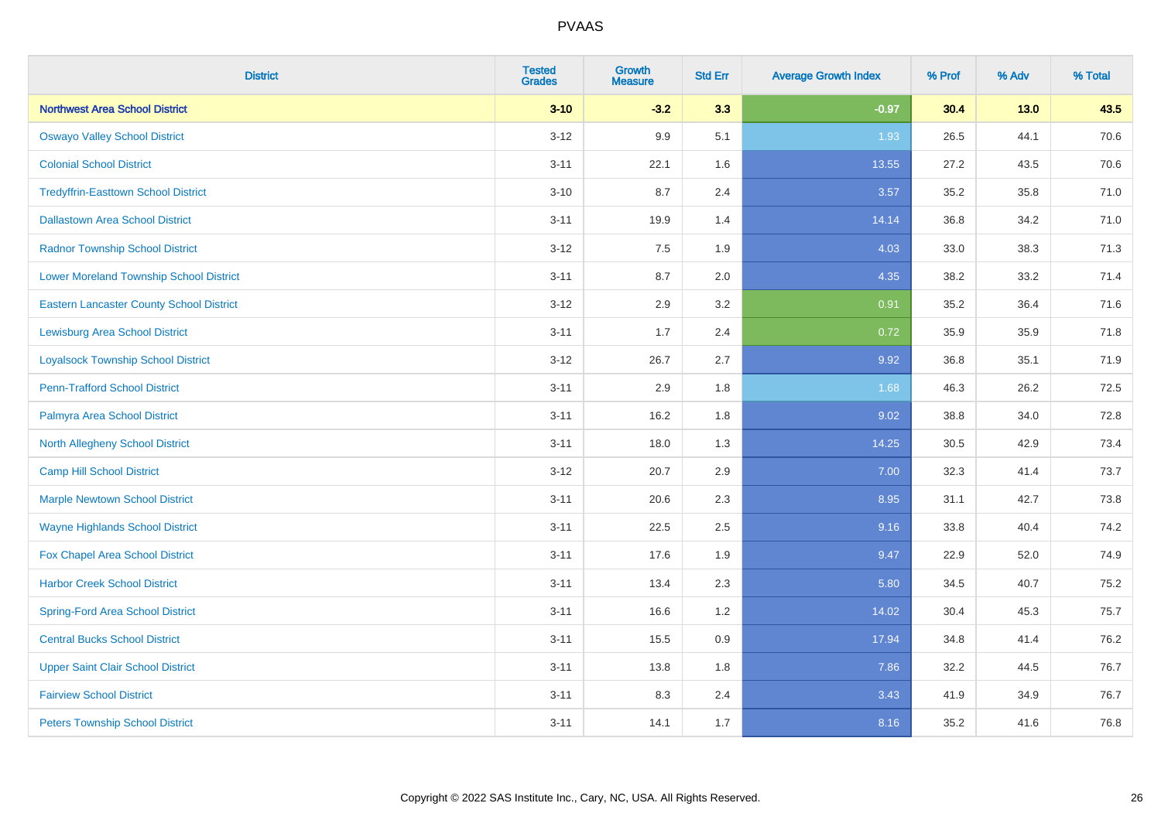| <b>District</b>                                 | <b>Tested</b><br><b>Grades</b> | <b>Growth</b><br><b>Measure</b> | <b>Std Err</b> | <b>Average Growth Index</b> | % Prof | % Adv  | % Total |
|-------------------------------------------------|--------------------------------|---------------------------------|----------------|-----------------------------|--------|--------|---------|
| <b>Northwest Area School District</b>           | $3 - 10$                       | $-3.2$                          | 3.3            | $-0.97$                     | 30.4   | $13.0$ | 43.5    |
| <b>Oswayo Valley School District</b>            | $3 - 12$                       | 9.9                             | 5.1            | 1.93                        | 26.5   | 44.1   | 70.6    |
| <b>Colonial School District</b>                 | $3 - 11$                       | 22.1                            | 1.6            | 13.55                       | 27.2   | 43.5   | 70.6    |
| <b>Tredyffrin-Easttown School District</b>      | $3 - 10$                       | 8.7                             | 2.4            | 3.57                        | 35.2   | 35.8   | 71.0    |
| <b>Dallastown Area School District</b>          | $3 - 11$                       | 19.9                            | 1.4            | 14.14                       | 36.8   | 34.2   | 71.0    |
| <b>Radnor Township School District</b>          | $3 - 12$                       | 7.5                             | 1.9            | 4.03                        | 33.0   | 38.3   | 71.3    |
| <b>Lower Moreland Township School District</b>  | $3 - 11$                       | 8.7                             | 2.0            | 4.35                        | 38.2   | 33.2   | 71.4    |
| <b>Eastern Lancaster County School District</b> | $3 - 12$                       | 2.9                             | 3.2            | 0.91                        | 35.2   | 36.4   | 71.6    |
| <b>Lewisburg Area School District</b>           | $3 - 11$                       | 1.7                             | 2.4            | 0.72                        | 35.9   | 35.9   | 71.8    |
| <b>Loyalsock Township School District</b>       | $3-12$                         | 26.7                            | 2.7            | 9.92                        | 36.8   | 35.1   | 71.9    |
| <b>Penn-Trafford School District</b>            | $3 - 11$                       | 2.9                             | 1.8            | 1.68                        | 46.3   | 26.2   | 72.5    |
| Palmyra Area School District                    | $3 - 11$                       | 16.2                            | 1.8            | 9.02                        | 38.8   | 34.0   | 72.8    |
| North Allegheny School District                 | $3 - 11$                       | 18.0                            | 1.3            | 14.25                       | 30.5   | 42.9   | 73.4    |
| <b>Camp Hill School District</b>                | $3 - 12$                       | 20.7                            | 2.9            | 7.00                        | 32.3   | 41.4   | 73.7    |
| <b>Marple Newtown School District</b>           | $3 - 11$                       | 20.6                            | 2.3            | 8.95                        | 31.1   | 42.7   | 73.8    |
| <b>Wayne Highlands School District</b>          | $3 - 11$                       | 22.5                            | 2.5            | 9.16                        | 33.8   | 40.4   | 74.2    |
| Fox Chapel Area School District                 | $3 - 11$                       | 17.6                            | 1.9            | 9.47                        | 22.9   | 52.0   | 74.9    |
| <b>Harbor Creek School District</b>             | $3 - 11$                       | 13.4                            | 2.3            | 5.80                        | 34.5   | 40.7   | 75.2    |
| <b>Spring-Ford Area School District</b>         | $3 - 11$                       | 16.6                            | 1.2            | 14.02                       | 30.4   | 45.3   | 75.7    |
| <b>Central Bucks School District</b>            | $3 - 11$                       | 15.5                            | 0.9            | 17.94                       | 34.8   | 41.4   | 76.2    |
| <b>Upper Saint Clair School District</b>        | $3 - 11$                       | 13.8                            | 1.8            | 7.86                        | 32.2   | 44.5   | 76.7    |
| <b>Fairview School District</b>                 | $3 - 11$                       | 8.3                             | 2.4            | 3.43                        | 41.9   | 34.9   | 76.7    |
| <b>Peters Township School District</b>          | $3 - 11$                       | 14.1                            | 1.7            | 8.16                        | 35.2   | 41.6   | 76.8    |